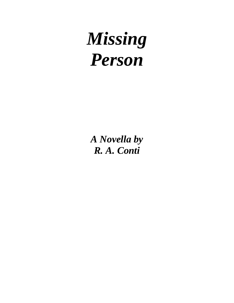# *Missing Person*

*A Novella by R. A. Conti*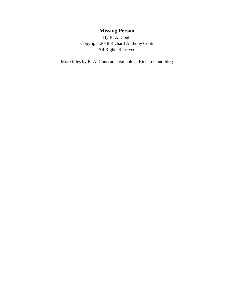## **Missing Person**

By R. A. Conti Copyright 2018 Richard Anthony Conti All Rights Reserved

More titles by R. A. Conti are available at RichardConti.blog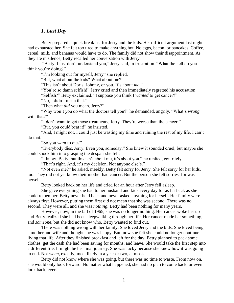## *1. Last Day*

Betty prepared a quick breakfast for Jerry and the kids. Her difficult argument last night had exhausted her. She felt too tired to make anything hot. No eggs, bacon, or pancakes. Coffee, cereal, milk, and bananas would have to do. The family did not show their disappointment. As they ate in silence, Betty recalled her conversation with Jerry.

"Betty, I just don't understand you," Jerry said, in frustration. "What the hell do you think you're doing?"

"I'm looking out for myself, Jerry" she replied.

"But, what about the kids? What about me?"

"This isn't about Doris, Johnny, or you. It's about *me*."

"You're so damn selfish!" Jerry cried and then immediately regretted his accusation.

"Selfish?" Betty exclaimed. "I suppose you think I *wanted* to get cancer?"

"No, I didn't mean that."

"Then what *did* you mean, Jerry?"

"Why won't you do what the doctors tell you?" he demanded, angrily. "What's *wrong* with that?"

"I don't want to get those treatments, Jerry. They're worse than the cancer."

"But, you could beat it!" he insisted.

"And, I might not. I could just be wasting my time and ruining the rest of my life. I can't do that."

"So you *want* to die?"

"Everybody dies, Jerry. Even you, someday." She knew it sounded cruel, but maybe she could shock him into grasping the despair she felt.

"I know, Betty, but this isn't about me, it's about you," he replied, contritely.

"That's right. And, it's my decision. Not anyone else's."

"Not even me?" he asked, meekly. Betty felt sorry for Jerry. She felt sorry for her kids, too. They did not yet know their mother had cancer. But the person she felt sorriest for was herself.

Betty looked back on her life and cried for an hour after Jerry fell asleep.

She gave everything she had to her husband and kids every day for as far back as she could remember. Betty never held back and never asked anything for herself. Her family were always first. However, putting them first did not mean that she was second. There was no second. They were all*,* and she was *nothing*. Betty had been nothing for many years.

However, now, in the fall of 1965, she was no longer nothing. Her cancer woke her up and Betty realized she had been sleepwalking through her life. Her cancer made her something, and *someone*, but she did not know who*.* Betty wanted to find out.

There was nothing wrong with her family. She loved Jerry and the kids. She loved being a mother and wife and thought she was happy. But, now she felt she could no longer continue living that life. After they finished breakfast and left for the day, Betty planned to pack some clothes, get the cash she had been saving for months, and leave. She would take the first step into a different life. It might be her final journey. She was lucky because she knew how it was going to end. Not *when*, exactly; most likely in a year or two, at most.

Betty did not know where she was going, but there was no time to waste. From now on, she would only look forward. No matter what happened, she had no plan to come back, or even look back, ever.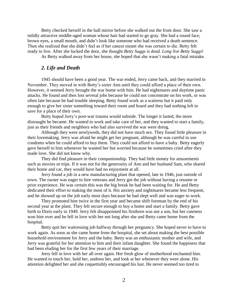Betty checked herself in the hall mirror before she walked out the front door. She saw a mildly attractive middle-aged woman whose hair had started to go gray. She had a round face, brown eyes, a small mouth, and didn't look like someone who had received a death sentence. Then she realized that she didn't feel as if her cancer meant she was certain to die. Betty felt ready to live. After she locked the door, she thought *Betty Suggs is dead. Long live Betty Suggs!*

As Betty walked away from her house, she hoped that she wasn't making a fatal mistake.

## *2. Life and Death*

1945 should have been a good year. The war ended, Jerry came back, and they married in November. They moved in with Betty's sister Ann until they could afford a place of their own. However, it seemed Jerry brought the war home with him. He had nightmares and daytime panic attacks. He found and then lost several jobs because he could not concentrate on his work, or was often late because he had trouble sleeping. Betty found work as a waitress but it paid only enough to give her sister something toward their room and board and they had nothing left to save for a place of their own.

Betty hoped Jerry's post-war trauma would subside. The longer it lasted, the more distraught he became. He wanted to work and take care of her, and they wanted to start a family, just as their friends and neighbors who had also survived the war were doing.

Although they were newlyweds, they did not have much sex. They found little pleasure in their lovemaking. Jerry was afraid he might get her pregnant, although he was careful to use condoms when he could afford to buy them. They could not afford to have a baby. Betty eagerly gave herself to him whenever he wanted her but worried because he sometimes cried after they made love. She did not know why.

They did find pleasure in their companionship. They had little money for amusements such as movies or trips. If it was not for the generosity of Ann and her husband Sam, who shared their home and car, they would have had no enjoyment at all.

Jerry found a job in a new manufacturing plant that opened, late in 1946, just outside of town. The owner was eager to hire veterans and Jerry got the job without having a resume or prior experience. He was certain this was the big break he had been waiting for. He and Betty dedicated their effort to making the most of it. His anxiety and nightmares became less frequent, and he showed up on the job early most days because he had slept well and was eager to work.

They promoted him twice in the first year and became shift foreman by the end of his second year at the plant. They felt secure enough to buy a home and start a family. Betty gave birth to Doris early in 1949. Jerry felt disappointed his firstborn was not a son, but her cuteness won him over and he fell in love with her not long after she and Betty came home from the hospital.

Betty quit her waitressing job halfway through her pregnancy. She hoped never to have to work again. As soon as she came home from the hospital, she set about making the best possible household environment for Jerry and the baby. Betty was an enthusiastic mother and wife, and Jerry was grateful for her attention to him and their infant daughter. She found the happiness that had been eluding her for the first few years of their marriage.

Jerry fell in love with her all over again. Her fresh glow of motherhood enchanted him. He wanted to touch her, hold her, undress her, and look at her whenever they were alone. His attention delighted her and she coquettishly encouraged his lust. He never seemed too tired to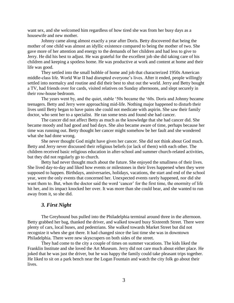want sex, and she welcomed him regardless of how tired she was from her busy days as a housewife and new mother.

Johnny came along almost exactly a year after Doris. Betty discovered that being the mother of one child was almost an idyllic existence compared to being the mother of two. She gave more of her attention and energy to the demands of her children and had less to give to Jerry. He did his best to adjust. He was grateful for the excellent job she did taking care of his children and keeping a spotless home. He was productive at work and content at home and their life was good.

They settled into the small bubble of home and job that characterized 1950s American middle-class life. World War II had disrupted everyone's lives. After it ended, people willingly settled into normalcy and routine and did their best to shut out the world. Jerry and Betty bought a TV, had friends over for cards, visited relatives on Sunday afternoons, and slept securely in their row-house bedroom.

The years went by, and the quiet, stable '50s became the '60s. Doris and Johnny became teenagers. Betty and Jerry were approaching mid-life. Nothing major happened to disturb their lives until Betty began to have pains she could not medicate with aspirin. She saw their family doctor, who sent her to a specialist. He ran some tests and found she had cancer.

The cancer did not affect Betty as much as the knowledge that she had cancer did. She became moody and had good and bad days. She also became aware of time, perhaps because her time was running out. Betty thought her cancer might somehow be her fault and she wondered what she had done wrong.

She never thought God might have given her cancer. She did not think about God much. Betty and Jerry never discussed their religious beliefs (or lack of them) with each other. The children received basic religious education in after-school and summer church-related activities, but they did not regularly go to church.

Betty had never thought much about the future. She enjoyed the smallness of their lives. She lived day-to-day and liked how events or milestones in their lives happened when they were supposed to happen. Birthdays, anniversaries, holidays, vacations, the start and end of the school year, were the only events that concerned her. Unexpected events rarely happened, nor did she want them to. But, when the doctor said the word 'cancer' for the first time, the enormity of life hit her, and its impact knocked her over. It was more than she could bear, and she wanted to run away from it, so she did.

#### *3. First Night*

The Greyhound bus pulled into the Philadelphia terminal around three in the afternoon. Betty grabbed her bag, thanked the driver, and walked toward busy Sixteenth Street. There were plenty of cars, local buses, and pedestrians. She walked towards Market Street but did not recognize it when she got there. It had changed since the last time she was in downtown Philadelphia. There were new skyscrapers on both sides of the street.

They had come to the city a couple of times on summer vacations. The kids liked the Franklin Institute and she loved the Art Museum. Jerry did not care much about either place. He joked that he was just the driver, but he was happy the family could take pleasant trips together. He liked to sit on a park bench near the Logan Fountain and watch the city folk go about their lives.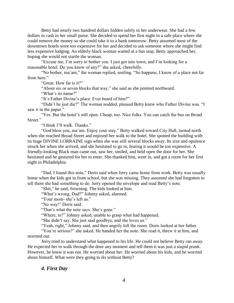Betty had nearly two hundred dollars hidden safely in her underwear. She had a few dollars in cash in her small purse. She decided to spend her first night in a safe place where she could remove the money so she could take it to a bank tomorrow. Betty assumed most of the downtown hotels were too expensive for her and decided to ask someone where she might find less expensive lodging. An elderly black woman waited at a bus stop. Betty approached her, hoping she would not startle the woman.

"Excuse me, I'm sorry to bother you. I just got into town, and I'm looking for a reasonable hotel. Do you know of any?" she asked, cheerfully.

"No bother, ma'am," the woman replied, smiling. "So happens, I know of a place not far from here."

"Great. How far is it?"

"About six or seven blocks that way," she said as she pointed northward.

"What's its name?"

"It's Father Divine's place. Ever heard of him?"

"Didn't he just die?" The woman nodded, pleased Betty knew who Father Divine was. "I saw it in the paper."

"Yes. But the hotel's still open. Cheap, too. Nice folks. You can catch the bus on Broad Street."

"I think I'll walk. Thanks."

"God bless you, ma'am. Enjoy your stay." Betty walked toward City Hall, turned north when she reached Broad Street and enjoyed her walk to the hotel. She spotted the building with its huge DIVINE LORRAINE sign when she was still several blocks away. Its size and opulence struck her when she arrived, and she hesitated to go in, fearing it would be too expensive. A friendly-looking Black man came out, saw her, smiled, and held open the door for her. She hesitated and he gestured for her to enter. She thanked him, went in, and got a room for her first night in Philadelphia.

"Dad, I found this note," Doris said when Jerry came home from work. Betty was usually home when the kids got in from school, but she was missing. They assumed she had forgotten to tell them she had something to do. Jerry opened the envelope and read Betty's note.

"Shit," he said, frowning. The kids looked at him.

"What's wrong, Dad?" Johnny asked, alarmed.

"Your mom- she's left us."

"No way!" Doris said.

"That's what the note says. She's gone."

"Where, to?" Johnny asked, unable to grasp what had happened.

"She didn't say. She just said goodbye, and she loves us."

"Yeah, right," Johnny said, and then angrily left the room. Doris looked at her father.

"You're serious?" she asked. He handed her the note. She read it, threw it at him, and stormed out.

Jerry tried to understand what happened to his life. He could not believe Betty ran away. He expected her to walk through the door any moment and tell them it was just a stupid prank. However, he knew it was not. He worried about her. He worried about his kids, and he worried about himself. What were they going to do without Betty?

#### *4. First Day*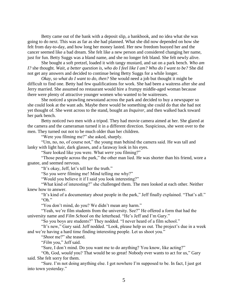Betty came out of the bank with a deposit slip, a bankbook, and no idea what she was going to do next. This was as far as she had planned. What she did now depended on how she felt from day-to-day, and how long her money lasted. Her new freedom buoyed her and the cancer seemed like a bad dream. She felt like a new person and considered changing her name, just for fun. Betty Suggs was a bland name, and she no longer felt bland. She felt newly alive.

She bought a soft pretzel, loaded it with tangy mustard, and sat on a park bench. *Who am I?* she thought. *Wait, a better question is, who do I feel like I am? Who do I want to be?* She did not get any answers and decided to continue being Betty Suggs for a while longer.

*Okay, so what do I want to do, then?* She would need a job but thought it might be difficult to find one. Betty had few qualifications for work. She had been a waitress after she and Jerry married. She assumed no restaurant would hire a frumpy middle-aged woman because there were plenty of attractive younger women who wanted to be waitresses.

She noticed a sprawling newsstand across the park and decided to buy a newspaper so she could look at the want ads. Maybe there would be something she could do that she had not yet thought of. She went across to the stand, bought an *Inquirer*, and then walked back toward her park bench.

Betty noticed two men with a tripod. They had movie camera aimed at her. She glared at the camera and the cameraman turned it in a different direction. Suspicious, she went over to the men. They turned out not to be much older than her children.

"Were you filming me?" she asked, sharply.

"Um, no, no, of course not," the young man behind the camera said. He was tall and lanky with light hair, dark glasses, and a faraway look in his eyes.

"Sure looked like you were. What *were* you filming?"

"Those people across the park," the other man lied. He was shorter than his friend, wore a goatee, and seemed nervous.

"It's okay, Jeff, let's tell her the truth."

"So you *were* filming me! Mind telling me why?"

"Would you believe it if I said you look interesting?"

"What kind of interesting?" she challenged them. The men looked at each other. Neither knew how to answer.

"It's kind of a documentary about people in the park," Jeff finally explained. "That's all." "Oh."

"You don't mind, do you? We didn't mean any harm."

"Yeah, we're film students from the university. See?" He offered a form that had the university name and *Film School* on the letterhead. "He's Jeff and I'm Gary."

"So you boys are students?" They nodded. "I never heard of a film school."

"It's new," Gary said. Jeff nodded. "Look, please help us out. The project's due in a week and we're having a hard time finding interesting people. Let us shoot you."

"*Shoot* me?" she teased.

"*Film* you," Jeff said.

"Sure, I don't mind. Do you want me to do anything? You know, like acting?"

"Oh, God, *would* you? That would be so great! Nobody ever wants to act for us," Gary said. She felt sorry for them.

"Sure. I'm not doing anything else. I got nowhere I'm supposed to be. In fact, I just got into town yesterday."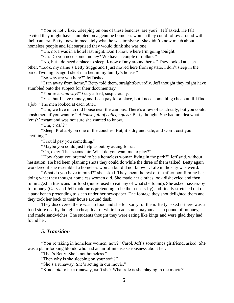"You're not…like…sleeping on one of these benches, are you?" Jeff asked. He felt excited they might have stumbled on a genuine homeless woman they could follow around with their camera. Betty knew immediately what he was implying. She didn't know much about homeless people and felt surprised they would think she was one.

"Uh, no. I was in a hotel last night. Don't know where I'm going tonight."

"Oh. Do you need some money? We have a couple of dollars."

"No, but I do need a place to sleep. Know of any around here?" They looked at each other. "Look, my name's Betty Suggs and I just moved here from upstate. I don't sleep in the park. Two nights ago I slept in a bed in my family's house."

"So why are you here?" Jeff asked.

"I ran away from home," Betty told them, straightforwardly. Jeff thought they might have stumbled onto the subject for their documentary.

"You're a *runaway?*" Gary asked, suspiciously.

"Yes, but I have money, and I can pay for a place, but I need something cheap until I find a job." The men looked at each other.

"Um, we live in an old house near the campus. There's a few of us already, but you could crash there if you want to." *A house full of college guys?* Betty thought. She had no idea what 'crash' meant and was not sure she wanted to know.

"Um, *crash*?"

"Sleep. Probably on one of the couches. But, it's dry and safe, and won't cost you anything."

"I could pay you something."

"Maybe you could just help us out by acting for us."

"Oh, okay. That seems fair. What do you want me to play?"

"How about you pretend to be a homeless woman living in the park?" Jeff said, without hesitation. He had been planning shots they could do while the three of them talked. Betty again wondered if she resembled a homeless woman but did not know it. Life in the city was weird.

"What do you have in mind?" she asked. They spent the rest of the afternoon filming her doing what they thought homeless women did. She made her clothes look disheveled and then rummaged in trashcans for food (but refused to eat any of what she found). She asked passers-by for money (Gary and Jeff took turns pretending to be the passers-by) and finally stretched out on a park bench pretending to sleep under her newspaper. The footage they shot delighted them and they took her back to their house around dusk.

They discovered there was no food and she felt sorry for them. Betty asked if there was a food store nearby, bought a cheap loaf of white bread, some mayonnaise, a pound of boloney, and made sandwiches. The students thought they were eating like kings and were glad they had found her.

## *5. Transition*

"You're taking in homeless women, now?" Carol, Jeff's sometimes girlfriend, asked. She was a plain-looking blonde who had an air of intense seriousness about her.

"That's Betty. She's not homeless."

"Then why is she sleeping on your sofa?"

"She's a runaway. She's acting in our movie."

"Kinda *old* to be a runaway, isn't she? What role is she playing in the movie?"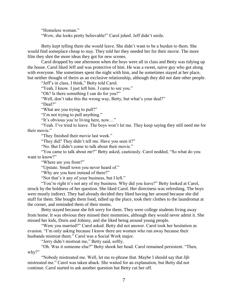"Homeless woman."

"Wow, she looks pretty believable!" Carol joked. Jeff didn't smile.

Betty kept telling them she would leave. She didn't want to be a burden to them. She would find someplace cheap to stay. They told her they needed her for their movie. The more film they shot the more ideas they got for new scenes.

Carol dropped by one afternoon when the boys were all in class and Betty was tidying up the house. Carol liked Jeff and was protective of him. He was a sweet, naive guy who got along with everyone. She sometimes spent the night with him, and he sometimes stayed at her place, but neither thought of theirs as an exclusive relationship, although they did not date other people.

"Jeff's in class, I think," Betty told Carol.

"Yeah, I know. I just left him. I came to see you."

"Oh? Is there something I can do for you?"

"Well, don't take this the wrong way, Betty, but what's your deal?"

"Deal?"

"What are you trying to pull?"

"I'm not trying to pull anything."

"It's obvious you're living here, now…"

"Yeah. I've tried to leave. The boys won't let me. They keep saying they still need me for their movie."

"They finished their movie last week."

"They did? They didn't tell me. Have you seen it?"

"No. But I didn't come to talk about their movie."

"You came to talk about *me*?" Betty asked, cautiously. Carol nodded, "So what do you want to know?"

"Where are you from?"

"Upstate. Small town you never heard of."

"Why are you here instead of there?"

"Not that's it any of your business, but I left."

"You're right it's not any of my business. Why did you leave?" Betty looked at Carol, struck by the boldness of her question. She liked Carol. Her directness was refreshing. The boys were mostly indirect. They had already decided they liked having her around because she did stuff for them. She bought them food, tidied up the place, took their clothes to the laundromat at the corner, and reminded them of their moms.

Betty stayed because she felt sorry for them. They were college students living away from home. It was obvious they missed their mommies, although they would never admit it. She missed her kids, Doris and Johnny, and she liked being around young people.

"Were you married?" Carol asked. Betty did not answer. Carol took her hesitation as evasion. "I'm only asking because I know there are women who run away because their husbands mistreat them." Carol was a Social Work major.

"Jerry didn't mistreat me," Betty said, softly.

"Oh. Was it someone else?" Betty shook her head. Carol remained persistent. "Then, why?"

"Nobody mistreated me. Well, let me re-phrase that. Maybe I should say that *life* mistreated me." Carol was taken aback. She waited for an explanation, but Betty did not continue. Carol started to ask another question but Betty cut her off.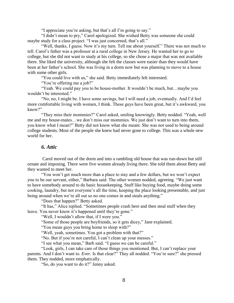"I appreciate you're asking, but that's all I'm going to say."

"I didn't mean to pry," Carol apologized. She wished Betty was someone she could maybe study for a class project. "I was just concerned, that's all."

"Well, thanks, I guess. Now it's my turn. Tell me about yourself." There was not much to tell. Carol's father was a professor at a rural college in New Jersey. He wanted her to go to college, but she did not want to study at his college, so she chose a major that was not available there. She liked the university, although she felt the classes were easier than they would have been at her father's school. She was living in a dorm now but was planning to move to a house with some other girls.

"You could live with us," she said. Betty immediately felt interested.

"You're offering me a job?"

"Yeah. We could pay you to be house-mother. It wouldn't be much, but…maybe you wouldn't be interested."

"No, no, I might be. I have some savings, but I will need a job, eventually. And I'd feel more comfortable living with women, I think. These guys have been great, but it's awkward, you know?"

"They miss their mommies?" Carol asked, smiling knowingly. Betty nodded. "Yeah, well me and my house-mates…we don't miss our mommies. We just don't want to turn into them, you know what I mean?" Betty did not know what she meant. She was not used to being around college students. Most of the people she knew had never gone to college. This was a whole new world for her.

## *6. Attic*

Carol moved out of the dorm and into a rambling old house that was run-down but still ornate and imposing. There were five women already living there. She told them about Betty and they wanted to meet her.

"You won't get much more than a place to stay and a few dollars, but we won't expect you to be our servant, either," Barbara said. The other women nodded, agreeing. "We just want to have somebody around to do basic housekeeping. Stuff like buying food, maybe doing some cooking, laundry, but not everyone's all the time, keeping the place looking presentable, and just being around when we're all out so no one comes in and steals anything."

"Does that happen?" Betty asked.

"It has," Alice replied. "Sometimes people crash here and then steal stuff when they leave. You never know it's happened until they're gone."

"Well, I wouldn't allow that, if I were you."

"Some of those people are boyfriends, so it gets dicey," Jane explained.

"You mean guys you bring home to sleep with?"

"Well, yeah, sometimes. You got a problem with that?"

"No. But if you're not careful, I can't clean up your messes."

"I see what you mean," Barb said. "I guess we can be careful."

"Look, girls, I can take care of those things you mentioned. But, I can't replace your parents. And I don't want to. *Ever.* Is that clear?" They all nodded. "You're sure?" she pressed them. They nodded, more emphatically.

"So, do you want to do it?" Jenny asked.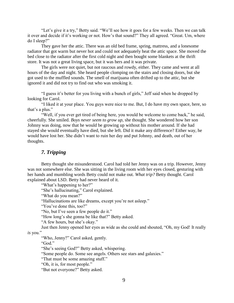"Let's give it a try," Betty said. "We'll see how it goes for a few weeks. Then we can talk it over and decide if it's working or not. How's that sound?" They all agreed. "Great. Um, where do I sleep?"

They gave her the attic. There was an old bed frame, spring, mattress, and a lonesome radiator that got warm but never hot and could not adequately heat the attic space. She moved the bed close to the radiator after the first cold night and then bought some blankets at the thrift store. It was not a great living space, but it was hers and it was private.

The girls were not quiet, but not raucous and rowdy, either. They came and went at all hours of the day and night. She heard people clomping on the stairs and closing doors, but she got used to the muffled sounds. The smell of marijuana often drifted up to the attic, but she ignored it and did not try to find out who was smoking it.

"I guess it's better for you living with a bunch of girls," Jeff said when he dropped by looking for Carol.

"I liked it at your place. You guys were nice to me. But, I do have my own space, here, so that's a plus."

"Well, if you ever get tired of being here, you would be welcome to come back," he said, cheerfully. She smiled. *Boys never seem to grow up,* she thought. She wondered how her son Johnny was doing, now that he would be growing up without his mother around. If she had stayed she would eventually have died, but she left. Did it make any difference? Either way, he would have lost her. She didn't want to ruin her day and put Johnny, and death, out of her thoughts.

## *7. Tripping*

Betty thought she misunderstood. Carol had told her Jenny was on a trip. However, Jenny was not somewhere else. She was sitting in the living room with her eyes closed, gesturing with her hands and mumbling words Betty could not make out. *What trip?* Betty thought. Carol explained about LSD. Betty had never heard of it.

"What's happening to her?"

"She's hallucinating," Carol explained.

"What do you mean?"

"Hallucinations are like dreams, except you're not asleep."

"You've done this, too?"

"No, but I've seen a few people do it."

"How long's she gonna be like that?" Betty asked.

"A few hours, but she's okay."

Just then Jenny opened her eyes as wide as she could and shouted, "Oh, my God! It really

## *is* you."

"Who, Jenny?" Carol asked, gently.

"God."

"She's seeing God?" Betty asked, whispering.

"Some people do. Some see angels. Others see stars and galaxies."

"That must be some amazing stuff."

"Oh, it is, for most people."

"But not everyone?" Betty asked.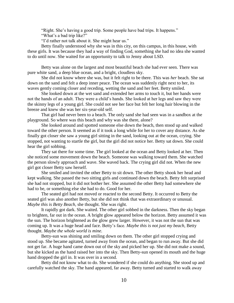"Right. She's having a good trip. Some people have bad trips. It happens."

"What's a bad trip like?"

"I'd rather not talk about it. She might hear us."

Betty finally understood why she was in this city, on this campus, in this house, with these girls. It was because they had a way of finding God, something she had no idea she wanted to do until now. She waited for an opportunity to talk to Jenny about LSD.

Betty was alone on the largest and most beautiful beach she had ever seen. There was pure white sand, a deep blue ocean, and a bright, cloudless sky.

She did not know where she was, but it felt right to be there. This was *her* beach. She sat down on the sand and felt a deep inner peace. The ocean was suddenly right next to her, its waves gently coming closer and receding, wetting the sand and her feet. Betty smiled.

She looked down at the wet sand and extended her arms to touch it, but her hands were not the hands of an adult. They were a child's hands. She looked at her legs and saw they were the skinny legs of a young girl. She could not see her face but felt her long hair blowing in the breeze and knew she was her six-year-old self.

That girl had never been to a beach. The only sand she had seen was in a sandbox at the playground. So where was this beach and why was she there, alone?

She looked around and spotted someone else down the beach, then stood up and walked toward the other person. It seemed as if it took a long while for her to cover any distance. As she finally got closer she saw a young girl sitting in the sand, looking out at the ocean, crying. She stopped, not wanting to startle the girl, but the girl did not notice her. Betty sat down. She could hear the girl sobbing.

They sat there for some time. The girl looked at the ocean and Betty looked at her. Then she noticed some movement down the beach. Someone was walking toward them. She watched the person slowly approach and wave. She waved back. The crying girl did not. When the new girl got closer Betty saw herself.

She smiled and invited the other Betty to sit down. The other Betty shook her head and kept walking. She passed the two sitting girls and continued down the beach. Betty felt surprised she had not stopped, but it did not bother her. She assumed the other Betty had somewhere she had to be, or something else she had to do. Good for her.

The seated girl had not moved or reacted to the second Betty. It occurred to Betty the seated girl was also another Betty, but she did not think that was extraordinary or unusual. *Maybe this is Betty Beach,* she thought. She was right.

It rapidly got dark. She waited. The other girl sobbed in the darkness. Then the sky began to brighten, far out in the ocean. A bright glow appeared below the horizon. Betty assumed it was the sun. The horizon brightened as the glow grew larger. However, it was not the sun that was coming up. It was a huge head and face. Betty's face. *Maybe this is not just my beach,* Betty thought. *Maybe the whole world is mine.*

Betty-sun was shining and smiling down on them. The other girl stopped crying and stood up. She became agitated, turned away from the ocean, and began to run away. But she did not get far. A huge hand came down out of the sky and picked her up. She did not make a sound, but she kicked as the hand raised her into the sky. Then Betty-sun opened its mouth and the huge hand dropped the girl in. It was over in a second.

Betty did not know what to do. She wondered if she could do anything. She stood up and carefully watched the sky. The hand appeared, far away. Betty turned and started to walk away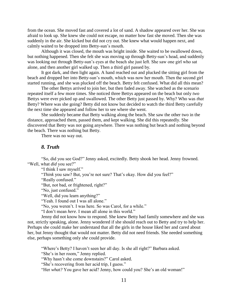from the ocean. She moved fast and covered a lot of sand. A shadow appeared over her. She was afraid to look up. She knew she could not escape, no matter how fast she moved. Then she was suddenly in the air. She kicked but did not cry out. She knew what would happen next, and calmly waited to be dropped into Betty-sun's mouth.

Although it was closed, the mouth was bright inside. She waited to be swallowed down, but nothing happened. Then she felt she was moving up through Betty-sun's head, and suddenly was looking out through Betty-sun's eyes at the beach she just left. She saw one girl who sat alone, and then another girl walked up. Then a third girl passed by.

It got dark, and then light again. A hand reached out and plucked the sitting girl from the beach and dropped her into Betty-sun's mouth, which was now her mouth. Then the second girl started running, and she was plucked off the beach. Betty felt confused. What did all this mean?

The other Bettys arrived to join her, but then faded away. She watched as the scenario repeated itself a few more times. She noticed three Bettys appeared on the beach but only *two* Bettys were ever picked up and swallowed. The other Betty just passed by. Why? Who was *that* Betty? Where was she going? Betty did not know but decided to watch the third Betty carefully the next time she appeared and follow her to see where she went.

She suddenly became that Betty walking along the beach. She saw the other two in the distance, approached them, passed them, and kept walking. She did this repeatedly. She discovered that Betty was not going anywhere. There was nothing but beach and nothing beyond the beach. There was nothing but Betty.

There was no way out.

## *8. Truth*

"So, did you see God?" Jenny asked, excitedly. Betty shook her head. Jenny frowned. "Well, what *did* you see?"

"I think I saw myself."

"*Think* you saw? But, you're not sure? That's okay. How did you feel?"

"Really confused."

"But, not bad, or frightened, right?"

"No, just confused."

"Well, did you learn anything?"

"Yeah. I found out I was all alone."

"No, you weren't. I was here. So was Carol, for a while."

"I don't mean *here*. I mean all alone in this world."

Jenny did not know how to respond. She knew Betty had family somewhere and she was not, strictly speaking, alone. Jenny wondered if she should reach out to Betty and try to help her. Perhaps she could make her understand that all the girls in the house liked her and cared about her, but Jenny thought that would not matter. Betty did not need friends. She needed something else, perhaps something only *she* could provide.

"Where's Betty? I haven't seen her all day. Is she all right?" Barbara asked.

"She's in her room," Jenny replied.

"Why hasn't she come downstairs?" Carol asked.

"She's recovering from her acid trip, I guess."

"Her *what?* You gave her acid? Jenny, how could you? She's an old woman!"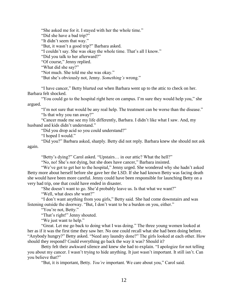"She asked me for it. I stayed with her the whole time." "Did she have a bad trip?" "It didn't seem that way." "But, it wasn't a good trip?" Barbara asked. "I couldn't say. She was okay the whole time. That's all I know." "Did you talk to her afterward?" "Of course," Jenny replied. "What did she say?" "Not much. She told me she was okay."

"But she's obviously not, Jenny. *Something's* wrong."

"I have cancer," Betty blurted out when Barbara went up to the attic to check on her. Barbara felt shocked.

"You could go to the hospital right here on campus. I'm sure they would help you," she argued.

"I'm not sure that would be any real help. The treatment can be worse than the disease." "Is that why you ran away?"

"Cancer made me see my life differently, Barbara. I didn't like what I saw. And, my husband and kids didn't understand."

"Did you drop acid so you could understand?"

"I hoped I would."

"Did you?" Barbara asked, sharply. Betty did not reply. Barbara knew she should not ask again.

"Betty's dying?" Carol asked. "Upstairs… in our attic? What the hell?"

"No, no! She's *not* dying, but she does have cancer," Barbara insisted.

"We've got to get her to the hospital," Jenny urged. She wondered why she hadn't asked Betty more about herself before she gave her the LSD. If she had known Betty was facing death she would have been more careful. Jenny could have been responsible for launching Betty on a very bad trip, one that could have ended in disaster.

"She doesn't want to go. She'd probably leave us. Is that what we want?"

"Well, what does *she* want?"

"I don't want anything from you girls," Betty said. She had come downstairs and was listening outside the doorway. "But, I don't want to be a burden on you, either."

"You're not, Betty."

"That's right!" Jenny shouted.

"We just want to help."

"Great. Let me go back to doing what I was doing." The three young women looked at her as if it was the first time they saw her. No one could recall what she had been doing before. "Anybody hungry?" Betty asked. "Need any laundry done?" The girls looked at each other. How should they respond? Could everything go back the way it was? Should it?

Betty felt their awkward silence and knew she had to explain. "I apologize for not telling you about my cancer. I wasn't trying to hide anything. It just wasn't important. It still isn't. Can you believe that?"

"But, it *is* important, Betty. *You're* important. We care about you," Carol said.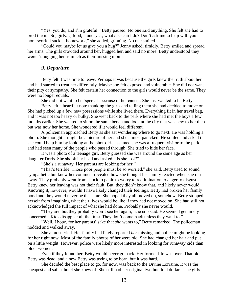"Yes, you do, and I'm grateful." Betty paused. No one said anything. She felt she had to prod them. "So, girls…, food, laundry…, what *else* can I do? Don't ask me to help with your homework. I suck at homework," she added, grinning. No one smiled.

"Could you maybe let us give you a hug?" Jenny asked, timidly. Betty smiled and spread her arms. The girls crowded around her, hugged her, and said no more. Betty understood they weren't hugging her as much as their missing moms.

## *9. Departure*

Betty felt it was time to leave. Perhaps it was because the girls knew the truth about her and had started to treat her differently. Maybe she felt exposed and vulnerable. She did not want their pity or sympathy. She felt certain her connection to the girls would never be the same. They were no longer equals.

She did not want to be 'special' because of her cancer. She just wanted to be Betty.

Betty left a heartfelt note thanking the girls and telling them she had decided to move on. She had picked up a few new possessions while she lived there. Everything fit in her travel bag, and it was not too heavy or bulky. She went back to the park where she had met the boys a few months earlier. She wanted to sit on the same bench and look at the city that was new to her then but was now her home. She wondered if it would feel different.

A policeman approached Betty as she sat wondering where to go next. He was holding a photo. She thought it might be a picture of her and she almost panicked. He smiled and asked if she could help him by looking at the photo. He assumed she was a frequent visitor to the park and had seen many of the people who passed through. She tried to hide her face.

It was a photo of a teenage girl. Betty guessed she was around the same age as her daughter Doris. She shook her head and asked, "Is she lost?"

"She's a runaway. Her parents are looking for her."

"That's terrible. Those poor people must be so worried," she said. Betty tried to sound sympathetic but knew her comment revealed how she thought her family reacted when she ran away. They probably went from shock to panic to worry to recrimination to anger to disgust. Betty knew her leaving was not their fault. But, they didn't know that, and likely never would. Knowing it, however, wouldn't have likely changed their feelings. Betty had broken her family bond and they would never be the same. She hoped they all moved on, somehow. Betty stopped herself from imagining what their lives would be like if they had not moved on. She had still not acknowledged the full impact of what she had done. Probably she never would.

"They are, but they probably won't see her again," the cop said. He seemed genuinely concerned. "Kids disappear all the time. They don't come back unless they want to."

"Well, I hope, for her parents' sake that *she* wants to," Betty remarked. The policeman nodded and walked away.

She almost cried. Her family had likely reported *her* missing and police might be looking for her right now. Most of the family photos of her were old. She had changed her hair and put on a little weight. However, police were likely more interested in looking for runaway kids than older women.

Even if they found her, Betty would never go back. Her former life was over. That old Betty was dead, and a new Betty was trying to be born, but it was hard.

She decided the best place to go, for now, was back to the Divine Lorraine. It was the cheapest and safest hotel she knew of. She still had her original two hundred dollars. The girls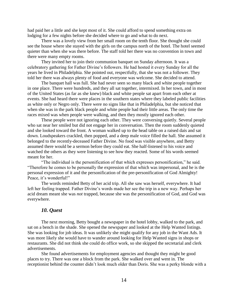had paid her a little and she kept most of it. She could afford to spend something extra on lodging for a few nights before she decided where to go and what to do next.

There was a lovely view from her small room on the tenth floor. She thought she could see the house where she stayed with the girls on the campus north of the hotel. The hotel seemed quieter than when she was there before. The staff told her there was no convention in town and there were many empty rooms.

They invited her to join their communion banquet on Sunday afternoon. It was a celebratory gathering for Father Divine's followers. He had hosted it every Sunday for all the years he lived in Philadelphia. She pointed out, respectfully, that she was not a follower. They told her there was always plenty of food and everyone was welcome. She decided to attend.

The banquet hall was full. She had never seen so many black and white people together in one place. There were hundreds, and they all sat together, intermixed. In her town, and in most of the United States (as far as she knew) black and white people sat apart from each other at events. She had heard there were places in the southern states where they labeled public facilities as white only or Negro only. There were no signs like that in Philadelphia, but she noticed that when she was in the park black people and white people had their little areas. The only time the races mixed was when people were walking, and then they mostly ignored each other.

These people were not ignoring each other. They were conversing quietly. Several people who sat near her smiled but did not engage her in conversation. Then the room suddenly quieted and she looked toward the front. A woman walked up to the head table on a raised dais and sat down. Loudspeakers crackled, then popped, and a deep male voice filled the hall. She assumed it belonged to the recently-deceased Father Divine. No food was visible anywhere, and Betty assumed there would be a sermon before they could eat. She half-listened to his voice and watched the others as they were listening to see how they reacted. Some of his words seemed meant for her.

"The individual is the personification of that which expresses personification," he said. "Therefore he comes to be personally the expression of that which was impersonal, and he is the personal expression of it and the personification of the pre-personification of God Almighty! Peace, it's wonderful!"

The words reminded Betty of her acid trip. All she saw was herself, everywhere. It had left her feeling trapped. Father Divine's words made her see the trip in a new way. Perhaps her acid dream meant she was *not* trapped, because she was the personification of God, and God was everywhere.

## *10. Quest*

The next morning, Betty bought a newspaper in the hotel lobby, walked to the park, and sat on a bench in the shade. She opened the newspaper and looked at the Help Wanted listings. She was looking for job ideas. It was unlikely she might qualify for any job in the Want Ads. It was more likely she would have to wander around looking for Help Wanted signs in shops or restaurants. She did not think she could do office work, so she skipped the secretarial and clerk advertisements.

She found advertisements for employment agencies and thought they might be good places to try. There was one a block from the park. She walked over and went in. The receptionist behind the counter didn't look much older than Doris. She was a perky blonde with a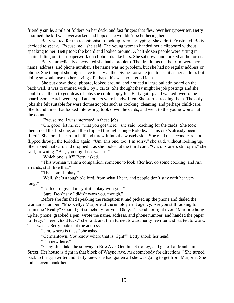friendly smile, a pile of folders on her desk, and fast fingers that flew over her typewriter. Betty assumed the kid was overworked and hoped she wouldn't be bothering her.

Betty waited for the receptionist to look up from her typing. She didn't. Frustrated, Betty decided to speak. "Excuse me," she said. The young woman handed her a clipboard without speaking to her. Betty took the board and looked around. A half-dozen people were sitting in chairs filling out their paperwork on clipboards like hers. She sat down and looked at the forms.

Betty immediately discovered she had a problem. The first items on the form were her name, address, and phone number. The name was no problem, but she had no regular address or phone. She thought she might have to stay at the Divine Lorraine just to use it as her address but doing so would use up her savings. Perhaps this was not a good idea.

She put down the clipboard, looked around, and noticed a large bulletin board on the back wall. It was crammed with 3 by 5 cards. She thought they might be job postings and she could read them to get ideas of jobs she could apply for. Betty got up and walked over to the board. Some cards were typed and others were handwritten. She started reading them. The only jobs she felt suitable for were domestic jobs such as cooking, cleaning, and perhaps child-care. She found three that looked interesting, took down the cards, and went to the young woman at the counter.

"Excuse me, I was interested in these jobs."

"Oh, good, let me see what you got there," she said, reaching for the cards. She took them, read the first one, and then flipped through a huge Rolodex. "This one's already been filled." She tore the card in half and threw it into the wastebasket. She read the second card and flipped through the Rolodex again. "Um, this one, too. I'm sorry," she said, without looking up. She ripped that card and dropped it as she looked at the third card. "Oh, *this* one's still open," she said, frowning. "But, you might not want it."

"Which one is it?" Betty asked.

"This woman wants a companion, someone to look after her, do some cooking, and run errands, stuff like that."

"That sounds okay."

"Well, she's a tough old bird, from what I hear, and people don't stay with her very long."

"I'd like to give it a try if it's okay with you."

"Sure. Don't say I didn't warn you, though."

Before she finished speaking the receptionist had picked up the phone and dialed the woman's number. "Miz Kelly? Marjorie at the employment agency. Are you still looking for someone? Really? Good. I got somebody for you. Okay. I'll send her right over." Marjorie hung up her phone, grabbed a pen, wrote the name, address, and phone number, and handed the paper to Betty. "Here. Good luck," she said, and then turned toward her typewriter and started to work. That was it. Betty looked at the address.

"Um, where is this?" she asked.

"Germantown. You know where that is, right?" Betty shook her head.

"I'm new here."

"Okay. Just take the subway to Erie Ave. Get the 53 trolley, and get off at Manheim Street. Her house is right in that block of Wayne Ave. Ask somebody for directions." She turned back to the typewriter and Betty knew she had gotten all she was going to get from Marjorie. She didn't even thank her.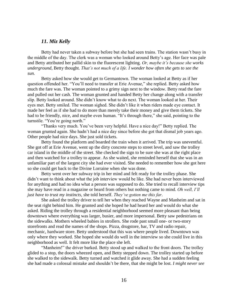#### *11. Miz Kelly*

Betty had never taken a subway before but she had seen trains. The station wasn't busy in the middle of the day. The clerk was a woman who looked around Betty's age. Her face was pale and Betty attributed her pallid skin to the fluorescent lighting. *Or, maybe it's because she works underground,* Betty thought. *That's not much of a life. I wonder how often she gets to see the sun.*

Betty asked how she would get to Germantown. The woman looked at Betty as if her question offended her. "You'll need to transfer at Erie Avenue," she replied. Betty asked how much the fare was. The woman pointed to a grimy sign next to the window. Betty read the fare and pulled out her cash. The woman grunted and handed Betty her change along with a transfer slip. Betty looked around. She didn't know what to do next. The woman looked at her. Their eyes met. Betty smiled. The woman sighed. She didn't like it when riders made eye contact. It made her feel as if she had to do more than merely take their money and give them tickets. She had to be friendly, nice, and maybe even human. "It's through there," she said, pointing to the turnstile. "You're going north."

"Thanks very much. You've been very helpful. Have a nice day!" Betty replied. The woman grunted again. She hadn't had a nice day since before she got that dismal job years ago. Other people had nice days. She just sold tickets.

Betty found the platform and boarded the train when it arrived. The trip was uneventful. She got off at Erie Avenue, went up the dirty concrete steps to street level, and saw the trolley car island in the middle of the street. She checked the sign to be sure she was at the right place and then watched for a trolley to appear. As she waited, she reminded herself that she was in an unfamiliar part of the largest city she had ever visited. She needed to remember how she got here so she could get back to the Divine Lorraine when she was done.

Betty went over her subway trip in her mind and felt ready for the trolley phase. She didn't want to think about what the job interview would be like. She had never been interviewed for anything and had no idea what a person was supposed to do. She tried to recall interview tips she may have read in a magazine or heard from others but nothing came to mind. *Oh well, I'll just have to trust my instincts,* she told herself. *They've gotten me this far*.

She asked the trolley driver to tell her when they reached Wayne and Manheim and sat in the seat right behind him. He grunted and she hoped he had heard her and would do what she asked. Riding the trolley through a residential neighborhood seemed more pleasant than being downtown where everything was larger, busier, and more impersonal. Betty saw pedestrians on the sidewalks. Mothers wheeled babies in strollers. She rode past small one- or two-story storefronts and read the names of the shops. Pizza, drugstore, bar, TV and radio repair, mechanic, hardware store. Betty understood that this was where people lived. Downtown was only where they worked. She hoped she would do well in the interview so she could live in this neighborhood as well. It felt more like the place she left.

"Manheim!" the driver barked. Betty stood up and walked to the front doors. The trolley glided to a stop, the doors wheezed open, and Betty stepped down. The trolley started up before she walked to the sidewalk. Betty turned and watched it glide away. She had a sudden feeling she had made a colossal mistake and shouldn't be there, that she might be lost. *I might never see*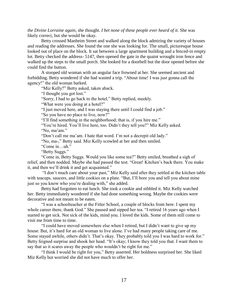*the Divine Lorraine again,* she thought. *I bet none of these people ever heard of it.* She was likely correct, but she would be okay.

Betty crossed Manheim Street and walked along the block admiring the variety of houses and reading the addresses. She found the one she was looking for. The small, picturesque house looked out of place on the block. It sat between a large apartment building and a fenced-in empty lot. Betty checked the address- 5147, then opened the gate in the quaint wrought iron fence and walked up the steps to the small porch. She looked for a doorbell but the door opened before she could find the button.

A stooped old woman with an angular face frowned at her. She seemed ancient and forbidding. Betty wondered if she had wasted a trip. "About time! I was just gonna call the agency!" the old woman barked.

"Miz Kelly?" Betty asked, taken aback.

"I thought you got lost."

"Sorry, I had to go back to the hotel," Betty replied, meekly.

"What were you doing at a hotel?"

"I just moved here, and I was staying there until I could find a job."

"So you have no place to live, now?"

"I'll find something in the neighborhood; that is, if you hire me."

"You're hired. You'll live here, too. Didn't they tell you?" Miz Kelly asked. "No, ma'am."

"Don't call me ma'am. I hate that word. I'm not a decrepit old lady."

"No, ma-," Betty said. Miz Kelly scowled at her and then smiled.

"Come in…uh."

"Betty Suggs."

"Come in, Betty Suggs. Would you like some tea?" Betty smiled, breathed a sigh of relief, and then nodded. Maybe she had passed the test. "Great! Kitchen's back there. You make it, and then we'll drink it and get acquainted."

"I don't much care about your past," Miz Kelly said after they settled at the kitchen table with teacups, saucers, and little cookies on a plate. "But, I'll bore you and tell you about mine just so you know who you're dealing with," she added.

Betty had forgotten to eat lunch. She took a cookie and nibbled it. Miz Kelly watched her. Betty immediately wondered if she had done something wrong. Maybe the cookies were decorative and not meant to be eaten.

"I was a schoolteacher at the Fitler School, a couple of blocks from here. I spent my whole career there, thank God." She paused and sipped her tea. "I retired 16 years ago when I started to get sick. Not sick of the kids, mind you. I loved the kids. Some of them still come to visit me from time to time.

"I could have moved somewhere else when I retired, but I didn't want to give up my house. But, it's hard for an old woman to live alone. I've had many people taking care of me. Some stayed awhile, others didn't. That's okay. They probably told you I was hard to work for." Betty feigned surprise and shook her head. "It's okay; I know they told you that. I want them to say that so it scares away the people who wouldn't be right for me."

"I think I would be right for you," Betty asserted. Her boldness surprised her. She liked Miz Kelly but worried she did not have much to offer her.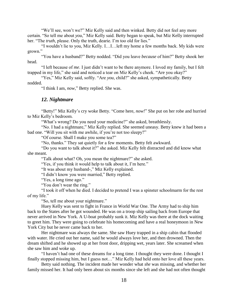"We'll see, won't we?" Miz Kelly said and then winked. Betty did not feel any more certain. "So tell me about *you*," Miz Kelly said. Betty began to speak, but Miz Kelly interrupted her. "The *truth*, please. Only the truth, dearie. I'm too old for lies."

"I wouldn't lie to you, Miz Kelly. I…I…left my home a few months back. My kids were grown."

"You have a husband?" Betty nodded. "Did you leave *because* of him?" Betty shook her head.

"I left because of *me*. I just didn't want to be there anymore. I loved my family, but I felt trapped in my life," she said and noticed a tear on Miz Kelly's cheek. "Are you okay?"

"Yes," Miz Kelly said, softly. "Are *you*, child?" she asked, sympathetically. Betty nodded.

"I think I am, *now*," Betty replied. She was.

## *12. Nightmare*

"Betty!" Miz Kelly's cry woke Betty. "Come here, *now!*" She put on her robe and hurried to Miz Kelly's bedroom.

"What's wrong? Do you need your medicine?" she asked, breathlessly.

"No. I had a nightmare," Miz Kelly replied. She seemed uneasy. Betty knew it had been a bad one. "Will you sit with me awhile, if you're not too sleepy?"

"Of course. Shall I make you some tea?"

"No, thanks." They sat quietly for a few moments. Betty felt awkward.

"Do you want to talk about it?" she asked. Miz Kelly felt distracted and did know what she meant.

"Talk about what? Oh, you mean the nightmare?" she asked.

"Yes, if you think it would help to talk about it, I'm here."

"It was about my husband-," Miz Kelly explained.

"I didn't know you were married," Betty replied.

"Yes, a long time ago."

"You don't wear the ring."

"I took it off when he died. I decided to pretend I was a spinster schoolmarm for the rest of my life."

"So, tell me about your nightmare."

Huey Kelly was sent to fight in France in World War One. The Army had to ship him back to the States after he got wounded. He was on a troop ship sailing back from Europe that never arrived in New York. A U-boat probably sunk it. Miz Kelly was there at the dock waiting to greet him. They were going to celebrate his homecoming and have a real honeymoon in New York City but he never came back to her.

Her nightmare was always the same. She saw Huey trapped in a ship cabin that flooded with water. He cried out her name, said he would always love her, and then drowned. Then the dream shifted and he showed up at her front door, dripping wet, years later. She screamed when she saw him and woke up.

"I haven't had one of these dreams for a long time. I thought they were done. I thought I finally stopped missing him, but I guess not…" Miz Kelly had held onto her love all these years.

Betty said nothing. The incident made her wonder what *she* was missing, and whether her family missed her. It had only been about six months since she left and she had not often thought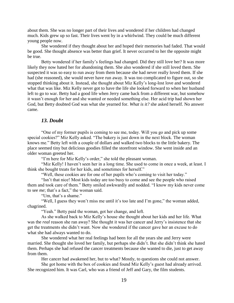about them. She was no longer part of their lives and wondered if her children had changed much. Kids grew up so fast. Their lives went by in a whirlwind. They could be much different young people now.

She wondered if they thought about her and hoped their memories had faded. That would be good. She thought absence was better than grief. It never occurred to her the opposite might be true.

Betty wondered if her family's feelings had changed. Did they still love her? It was more likely they now hated her for abandoning them. She also wondered if she still loved them. She suspected it was so easy to run away from them because she had never really loved them. If she had (she reasoned), she would never have run away. It was too complicated to figure out, so she stopped thinking about it. Instead, she thought about Miz Kelly's long-lost love and wondered what that was like. Miz Kelly never got to have the life she looked forward to when her husband left to go to war. Betty had a good life when Jerry came back from a different war, but somehow it wasn't enough for her and she wanted or needed something else. Her acid trip had shown her God, but Betty doubted God was what she yearned for. *What is it?* she asked herself. No answer came.

## *13. Doubt*

"One of my former pupils is coming to see me, today. Will you go and pick up some special cookies?" Miz Kelly asked. "The bakery is just down in the next block. The woman knows me." Betty left with a couple of dollars and walked two blocks to the little bakery. The place seemed tiny but delicious goodies filled the storefront window. She went inside and an older woman greeted her.

"I'm here for Miz Kelly's order," she told the pleasant woman.

"Miz Kelly! I haven't seen her in a long time. She used to come in once a week, at least. I think she bought treats for her kids, and sometimes for herself."

"Well, these cookies are for one of her pupils who's coming to visit her today."

"Isn't that nice! Most kids today are too busy to come and see the people who raised them and took care of them." Betty smiled awkwardly and nodded. "I know my kids never come to see *me*; that's a fact," the woman said.

"Um, that's a shame."

"Well, I guess they won't miss me until it's too late and I'm gone," the woman added, chagrined.

"Yeah." Betty paid the woman, got her change, and left.

As she walked back to Miz Kelly's house she thought about her kids and her life. What was the *real* reason she ran away? She thought it was her cancer and Jerry's insistence that she get the treatments she didn't want. Now she wondered if the cancer gave her an excuse to do what she had always wanted to do.

She wondered what her real feelings had been for all the years she and Jerry were married. She thought she loved her family, but perhaps she didn't. But she didn't think she hated them. Perhaps she had refused the cancer treatments because she wanted to die, just to get away from them.

Her cancer had awakened her, but to what? Mostly, to questions she could not answer.

She got home with the box of cookies and found Miz Kelly's guest had already arrived. She recognized him. It was Carl, who was a friend of Jeff and Gary, the film students.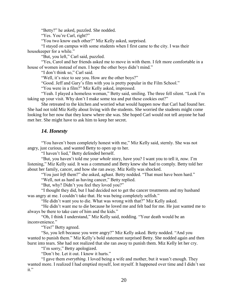"Betty?" he asked, puzzled. She nodded.

"Yes. You're Carl, right?"

"You two know each other?" Miz Kelly asked, surprised.

"I stayed on campus with some students when I first came to the city. I was their housekeeper for a while."

"But, you left," Carl said, puzzled.

"Yes, Carol and her friends asked me to move in with them. I felt more comfortable in a house of women instead of men. I hope the other boys didn't mind."

"I don't think so," Carl said.

"Well, it's nice to see you. How are the other boys?"

"Good. Jeff and Gary's film with you is pretty popular in the Film School."

"You were in a film?" Miz Kelly asked, impressed.

"Yeah. I played a homeless woman," Betty said, smiling. The three fell silent. "Look I'm taking up your visit. Why don't I make some tea and put these cookies out?"

She retreated to the kitchen and worried what would happen now that Carl had found her. She had not told Miz Kelly about living with the students. She worried the students might come looking for her now that they knew where she was. She hoped Carl would not tell anyone he had met her. She might have to ask him to keep her secret.

## *14. Honesty*

"You haven't been completely honest with me," Miz Kelly said, sternly. She was not angry, just curious, and wanted Betty to open up to her.

"I haven't lied," Betty defended herself.

"But, you haven't told me your *whole* story, have you? I want you to tell it, *now*. I'm listening," Miz Kelly said. It was a command and Betty knew she had to comply. Betty told her about her family, cancer, and how she ran away. Miz Kelly was shocked.

"You just *left* them?" she asked, aghast. Betty nodded. "That must have been hard."

"Well, not as hard as having cancer," Betty replied.

"But, why? Didn't you feel they loved you?"

"I thought they did, but I had decided not to get the cancer treatments and my husband was angry at me. I couldn't take that. He was being completely selfish."

"He didn't want you to die. What was wrong with that?" Miz Kelly asked.

"He didn't want me to die because he loved me and felt bad for me. He just wanted me to always be there to take care of him and the kids."

"Oh, I think I understand," Miz Kelly said, nodding. "Your death would be an inconvenience."

"Yes!" Betty agreed.

"So, you left because you were angry?" Miz Kelly asked. Betty nodded. "And you wanted to punish them." Miz Kelly's bold statement surprised Betty. She nodded again and then burst into tears. She had not realized that she ran away to punish them. Miz Kelly let her cry.

"I'm sorry," Betty apologized.

"Don't be. Let it out. I know it hurts."

"I gave them *everything*. I loved being a wife and mother, but it wasn't enough. They wanted more. I realized I had emptied myself, lost myself. It happened over time and I didn't see it."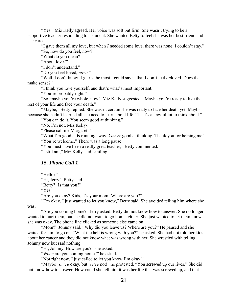"Yes," Miz Kelly agreed. Her voice was soft but firm. She wasn't trying to be a supportive teacher responding to a student. She wanted Betty to feel she was her best friend and she cared.

"I gave them all my love, but when *I* needed some love, there was none. I couldn't stay." "So, how do you feel, now?"

"What do you mean?"

"About love?"

"I don't understand."

"Do you feel loved, *now?"*

"Well, I don't know. I guess the most I could say is that I don't feel *un*loved. Does that make sense?"

"I think you love yourself, and that's what's most important."

"You're probably right."

"So, maybe you're whole, now," Miz Kelly suggested. "Maybe you're ready to live the rest of your life and face your death."

"Maybe," Betty replied. She wasn't certain she was ready to face her death yet. Maybe because she hadn't learned all she need to learn about life. "That's an awful lot to think about."

"You can do it. You seem good at thinking."

"No, I'm not, Miz Kelly-."

"Please call me Margaret."

"What I'm good at is running away. *You're* good at thinking. Thank you for helping me." "You're welcome." There was a long pause.

"You must have been a really great teacher," Betty commented.

"I still am," Miz Kelly said, smiling.

## *15. Phone Call 1*

"Hello?"

"Hi, Jerry," Betty said.

"Betty?! Is that you?"

"Yes."

"Are you okay? Kids, it's your mom! Where are you?"

"I'm okay. I just wanted to let you know," Betty said. She avoided telling him where she was.

"Are you coming home?" Jerry asked. Betty did not know how to answer. She no longer wanted to hurt them, but she did not want to go home, either. She just wanted to let them know she was okay. The phone line clicked as someone else came on.

"Mom?" Johnny said. "Why did you leave us? Where are you?" He paused and she waited for him to go on. "What the hell is wrong with you?" he asked. She had not told her kids about her cancer and they did not know what was wrong with her. She wrestled with telling Johnny now but said nothing.

"Hi, Johnny. How are you?" she asked.

"*When* are you coming home?" he asked.

"Not right now. I just called to let you know I'm okay."

"Maybe *you're* okay, but *we're* not!" he protested. "You screwed up our lives." She did not know how to answer. How could she tell him it was her life that was screwed up, and that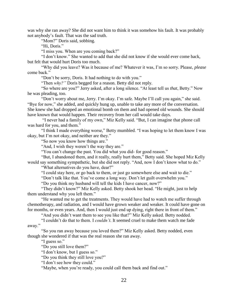was why she ran away? She did not want him to think it was somehow his fault. It was probably not anybody's fault. That was the sad truth.

"Mom?" Doris said, sobbing.

"Hi, Doris."

"I miss you. When are you coming back?"

"I don't know." She wanted to add that she did not know if she would ever come back, but felt that would hurt Doris too much.

"Why did you leave? Was it because of me? Whatever it was, I'm so sorry. Please, *please* come back."

"Don't be sorry, Doris. It had nothing to do with you."

"Then *why?"* Doris begged for a reason. Betty did not reply.

"So where are you?" Jerry asked, after a long silence. "At least tell us *that*, Betty." Now he was pleading, too.

"Don't worry about me, Jerry. I'm okay. I'm safe. Maybe I'll call you again," she said. "Bye for now," she added, and quickly hung up, unable to take any more of the conversation. She knew she had dropped an emotional bomb on them and had opened old wounds. She should have known that would happen. Their recovery from her call would take days.

"I never had a family of my own," Miz Kelly said. "But, I can imagine that phone call was hard for you, and them."

"I think I made everything worse," Betty mumbled. "I was hoping to let them know I was okay, but I'm not okay, and neither are they."

"So now you know how things are."

"And, I wish they weren't the way they are."

"You can't change the past. You did what you did- for good reason."

"But, I abandoned them, and it really, really hurt them," Betty said. She hoped Miz Kelly would say something sympathetic, but she did not reply. "And, now I don't know what to do."

"What alternatives do you have, dear?"

"I could stay here, or go back to them, or just go somewhere else and wait to die."

"Don't talk like that. You've come a long way. Don't let guilt overwhelm you."

"Do you think my husband will tell the kids I have cancer, now?"

"They didn't know?" Miz Kelly asked. Betty shook her head. "He might, just to help them understand why you left them."

"He wanted me to get the treatments. They would have had to watch me suffer through chemotherapy, and radiation, and I would have grown weaker and weaker. It could have gone on for months, or even years. And, then I would just end up dying, right there in front of them."

"And you didn't want them to see you like that?" Miz Kelly asked. Betty nodded.

"I couldn't do that to them. I *couldn't*. It seemed cruel to make them watch me fade away."

"So you ran away because you loved them?" Miz Kelly asked. Betty nodded, even though she wondered if that was the real reason she ran away.

"I guess so."

"Do you still love them?"

"I don't know, but I guess so."

"Do you think they still love you?"

"I don't see how they could."

"Maybe, when you're ready, you could call them back and find out."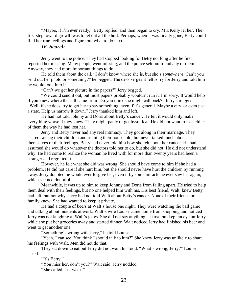"Maybe, if I'm *ever* ready," Betty replied, and then began to cry. Miz Kelly let her. The first step toward growth was to let out all the hurt. Perhaps, when it was finally gone, Betty could find her true feelings and figure out what to do next.

## *16. Search*

Jerry went to the police. They had stopped looking for Betty not long after he first reported her missing. Many people went missing, and the police seldom found any of them. Anyway, they had more important things to do.

He told them about the call. "I don't know where she is, but she's *somewhere*. Can't you send out her photo or something?" he begged. The desk sergeant felt sorry for Jerry and told him he would look into it.

"Can't we get her picture in the papers?" Jerry begged.

"We could send it out, but most papers probably wouldn't run it. I'm sorry. It would help if you knew where the call came from. Do you think she might call back?" Jerry shrugged. "Well, if she does, try to get her to say something, even if it's general. Maybe a city, or even just a state. Help us narrow it down." Jerry thanked him and left.

He had not told Johnny and Doris about Betty's cancer. He felt it would only make everything worse if they knew. They might panic or get hysterical. He did not want to lose either of them the way he had lost her.

Jerry and Betty never had any real intimacy. They got along in their marriage. They shared raising their children and running their household, but never talked much about themselves or their feelings. Betty had never told him how she felt about her cancer. He had assumed she would do whatever the doctors told her to do, but she did not. He did not understand why. He had come to realize the woman he lived with for more than twenty years had been a stranger and regretted it.

However, he felt what she did was wrong. She should have come to him if she had a problem. He did not care if she hurt him, but she should never have hurt the children by running away. Jerry doubted he would ever forgive her, even if by some miracle he ever saw her again, which seemed doubtful.

Meanwhile, it was up to him to keep Johnny and Doris from falling apart. He tried to help them deal with their feelings, but no one helped him with his. His best friend, Walt, knew Betty had left, but not why. Jerry had not told Walt about Betty's cancer. None of their friends or family knew. She had wanted to keep it private.

He had a couple of beers at Walt's house one night. They were watching the ball game and talking about incidents at work. Walt's wife Louise came home from shopping and noticed Jerry was not laughing at Walt's jokes. She did not say anything, at first, but kept an eye on Jerry while she put her groceries away and started dinner. Walt noticed Jerry had finished his beer and went to get another one.

"Something's wrong with Jerry," he told Louise.

"Yeah, I can see. You think I should talk to him?" She knew Jerry was unlikely to share his feelings with Walt. Men did not do that.

They sat down to eat but Jerry did not want his food. "What's wrong, Jerry?" Louise asked.

"It's Betty."

"You miss her, don't you?" Walt said. Jerry nodded.

"She called, last week."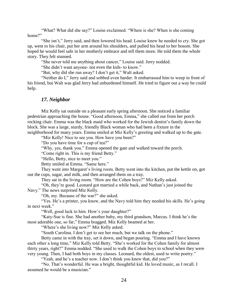"What? What did she say?" Louise exclaimed. "Where is she? When is she coming home?"

"She isn't," Jerry said, and then lowered his head. Louise knew he needed to cry. She got up, went to his chair, put her arm around his shoulders, and pulled his head to her bosom. She hoped he would feel safe in her motherly embrace and tell them more. He told them the whole story. They felt stunned.

"She never told me anything about cancer," Louise said. Jerry nodded.

"She didn't want anyone- not even the kids- to know."

"But, why did she run away? I don't get it," Walt asked.

"Neither do I," Jerry said and sobbed even harder. It embarrassed him to weep in front of his friend, but Walt was glad Jerry had unburdened himself. He tried to figure out a way he could help.

#### *17. Neighbor*

Miz Kelly sat outside on a pleasant early spring afternoon. She noticed a familiar pedestrian approaching the house. "Good afternoon, Emma," she called out from her porch rocking chair. Emma was the black maid who worked for the Jewish dentist's family down the block. She was a large, sturdy, friendly Black woman who had been a fixture in the neighborhood for many years. Emma smiled at Miz Kelly's greeting and walked up to the gate.

"Miz Kelly! Nice to see you. How have you been?"

"Do you have time for a cup of tea?"

"Why, yes, thank you." Emma opened the gate and walked toward the porch.

"Come right in. This is my friend Betty."

"Hello, Betty, nice to meet you."

Betty smiled at Emma. "Same here."

They went into Margaret's living room. Betty went into the kitchen, put the kettle on, got out the cups, sugar, and milk, and then arranged them on a tray.

They sat in the living room. "How are the Cohen boys?" Miz Kelly asked.

"Oh, they're good. Leonard got married a while back, and Nathan's just joined the Navy." The news surprised Miz Kelly.

"Oh, my. Because of the war?" she asked.

"Yes. He's a printer, you know, and the Navy told him they needed his skills. He's going in next week."

"Well, good luck to him. How's your daughter?"

"Katy-Sue is fine. She had another baby, my third grandson, Marcus. I think he's the most adorable one, so far," Emma bragged. Miz Kelly beamed at her.

"Where's she living now?" Miz Kelly asked.

"South Carolina. I don't get to see her much, but we talk on the phone."

Betty came in with the tray, set it down, and began pouring. "Emma and I have known each other a long time," Miz Kelly told Betty. "She's worked for the Cohen family for almost thirty years, right?" Emma nodded. "She used to walk the Cohen boys to school when they were very young. Then, I had both boys in my classes. Leonard, the oldest, used to write poetry."

"Yeah, and he's a teacher now. I don't think you knew that, did you?"

"No. That's wonderful. He was a bright, thoughtful kid. He loved music, as I recall. I assumed he would be a musician."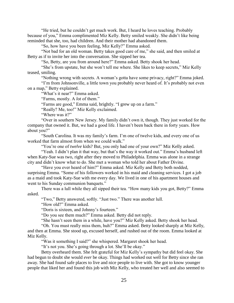"He tried, but he couldn't get much work. But, I heard he loves teaching. Probably because of you," Emma complimented Miz Kelly. Betty smiled weakly. She didn't like being reminded that she, too, had children. And their mother had abandoned them.

"So, how have you been feeling, Miz Kelly?" Emma asked.

"Not bad for an old woman. Betty takes good care of me," she said, and then smiled at Betty as if to invite her into the conversation. She sipped her tea.

"So, Betty, are you from around here?" Emma asked. Betty shook her head.

"She's from upstate, but she won't tell me where. She likes to keep secrets," Miz Kelly teased, smiling.

"Nothing wrong with secrets. A woman's gotta have some privacy, right?" Emma joked.

"I'm from Johnsonville, a little town you probably never heard of. It's probably not even on a map," Betty explained.

"What's it near?" Emma asked.

"Farms, mostly. A *lot* of them."

"Farms are good," Emma said, brightly. "I grew up on a farm."

"Really? Me, too!" Miz Kelly exclaimed.

"Where was it?"

"Over in southern New Jersey. My family didn't own it, though. They just worked for the company that owned it. But, we had a good life. I haven't been back there in forty years. How about you?"

"South Carolina. It was my family's farm. I'm one of twelve kids, and every one of us worked that farm almost from when we could walk."

"You're one of *twelve* kids? But, you only had one of your own?" Miz Kelly asked.

"Yeah. I didn't plan it that way, but that's the way it worked out." Emma's husband left when Katy-Sue was two, right after they moved to Philadelphia. Emma was alone in a strange city and didn't know what to do. She met a woman who told her about Father Divine.

"Have you ever heard of him?" Emma asked. Miz Kelly and Betty both nodded, surprising Emma. "Some of his followers worked in his maid and cleaning services. I got a job as a maid and took Katy-Sue with me every day. We lived in one of his apartment houses and went to his Sunday communion banquets."

There was a lull while they all sipped their tea. "How many kids you got, Betty?" Emma asked.

"Two," Betty answered, softly. "Just two." There was another lull.

"How old?" Emma asked.

"Doris is sixteen, and Johnny's fourteen."

"Do you see them much?" Emma asked. Betty did not reply.

"She hasn't seen them in a while, have you?" Miz Kelly asked. Betty shook her head.

"Oh. You must really miss them, huh?" Emma asked. Betty looked sharply at Miz Kelly, and then at Emma. She stood up, excused herself, and rushed out of the room. Emma looked at Miz Kelly.

"Was it something I said?" she whispered. Margaret shook her head.

"It's not you. She's going through a lot. She'll be okay."

Betty overheard them. She felt grateful for Miz Kelly's sympathy but did feel okay. She had begun to doubt she would *ever* be okay. Things had worked out well for Betty since she ran away. She had found safe places to live and nice people to live with. She got to know younger people that liked her and found this job with Miz Kelly, who treated her well and also seemed to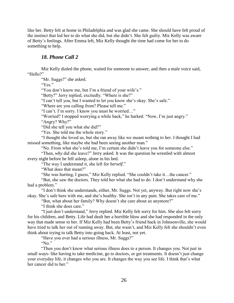like her. Betty felt at home in Philadelphia and was glad she came. She should have felt proud of the instinct that led her to do what she did, but she didn't. She felt guilty. Miz Kelly was aware of Betty's feelings. After Emma left, Miz Kelly thought the time had come for her to do something to help.

## *18. Phone Call 2*

Miz Kelly dialed the phone, waited for someone to answer, and then a male voice said, "Hello?"

"Mr. Suggs?" she asked.

"Yes."

"You don't know me, but I'm a friend of your wife's."

"Betty?" Jerry replied, excitedly. "Where is she?"

"I can't tell you, but I wanted to let you know she's okay. She's safe."

"Where are you calling from? Please tell me."

"I can't. I'm sorry. I know you must be worried…"

"Worried? I stopped worrying a while back," he barked. "Now, I'm just angry."

"Angry? Why?"

"Did she tell you what she did?"

"Yes. She told me the whole story."

"I thought she loved us, but she ran away like we meant nothing to her. I thought I had missed something, like maybe she had been seeing another man."

"No. From what she's told me, I'm certain she didn't leave you for someone else."

"Then, *why* did she leave?" Jerry asked. It was the question he wrestled with almost every night before he fell asleep, alone in his bed.

"The way I understand it, she left for *herself*."

"What does that mean?"

"She was hurting, I guess," Miz Kelly replied. "She couldn't take it…the cancer."

"But, she saw the doctors. They told her what she had to do. I don't understand why she had a problem."

"I don't think she understands, either, Mr. Suggs. Not yet, anyway. But right now she's okay. She's safe here with me, and she's healthy. She isn't in any pain. She takes care of me."

"But, what about her family? Why doesn't she care about *us* anymore?"

"I think she does care."

"I just don't understand," Jerry replied. Miz Kelly felt sorry for him. She also felt sorry for his children, and Betty. Life had dealt her a horrible blow and she had responded in the only way that made sense to her. If Miz Kelly had been Betty's friend back in Johnsonville, she would have tried to talk her out of running away. But, she wasn't, and Miz Kelly felt she shouldn't even think about trying to talk Betty into going back. At least, not yet.

"Have you ever had a serious illness, Mr. Suggs?"

"No."

"Then you don't know what serious illness does to a person. It changes you. Not just in small ways- like having to take medicine, go to doctors, or get treatments. It doesn't just change your everyday life, it changes who you are. It changes the way you see life. I think that's what her cancer did to her."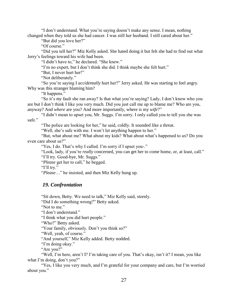"I don't understand. What you're saying doesn't make any sense. I mean, nothing changed when they told us she had cancer. I was still her husband. I still cared about her."

"But did you love her?"

"Of course."

"Did you tell her?" Miz Kelly asked. She hated doing it but felt she had to find out what Jerry's feelings toward his wife had been.

"I didn't have to," he declared. "She knew."

"I'm no expert, but I don't think she did. I think maybe she felt hurt."

"But, I never hurt her!"

"Not deliberately."

"So you're saying I *accidentally* hurt her?" Jerry asked. He was starting to feel angry. Why was this stranger blaming him?

"It happens."

"So it's *my* fault she ran away? Is that what you're saying? Lady, I don't know who you are but I don't think I like you very much. Did you just call me up to blame me? Who are you, anyway? And *where* are you? And more importantly, where is my *wife*?"

"I didn't mean to upset you, Mr. Suggs. I'm sorry. I only called you to tell you she was safe."

"The police are looking for her," he said, coldly. It sounded like a threat.

"Well, she's safe with me. I won't let anything happen to her."

"But, what about me? What about my kids? What about what's happened to *us*? Do you even care about us?"

"Yes, I do. That's why I called. I'm sorry if I upset you-."

"Look, lady, if you're *really* concerned, you can get her to come home, or, at least, call."

"I'll try. Good-bye, Mr. Suggs."

"*Please* get her to call," he begged.

"I'll try."

"*Please*…" he insisted, and then Miz Kelly hung up.

## *19. Confrontation*

"Sit down, Betty. We need to talk," Miz Kelly said, sternly.

"Did I do something wrong?" Betty asked.

"Not to me."

"I don't understand."

"I think what you did hurt people."

"Who?" Betty asked.

"Your family, obviously. Don't you think so?"

"Well, yeah, of course."

"And yourself," Miz Kelly added. Betty nodded.

"I'm doing okay."

"Are you?"

"Well, I'm here, aren't I? I'm taking care of you. That's okay, isn't it? I mean, you like what I'm doing, don't you?"

"Yes, I like you very much, and I'm grateful for your company and care, but I'm worried about you."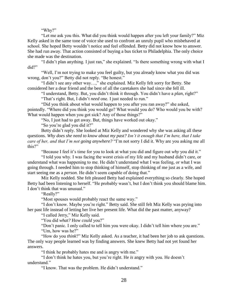#### "Why?"

"Let me ask you this. What did you think would happen after you left your family?" Miz Kelly asked in the same tone of voice she used to confront an unruly pupil who misbehaved at school. She hoped Betty wouldn't notice and feel offended. Betty did not know how to answer. She had run away. That action consisted of buying a bus ticket to Philadelphia. The only choice she made was the destination.

"I didn't plan anything. I just ran," she explained. "Is there something wrong with what I did?"

"Well, I'm not trying to make you feel guilty, but you already know what you did was wrong, don't you?" Betty did not reply. "Be honest."

"I didn't see any other way…," she explained. Miz Kelly felt sorry for Betty. She considered her a dear friend and the best of all the caretakers she had since she fell ill.

"I understand, Betty. But, you didn't think it through. You didn't have a *plan*, right?" "That's right. But, I didn't *need* one. I just needed to run."

"Did you think about what would happen to you after you ran away?" she asked, pointedly. "Where did you think you would go? What would you do? Who would you be with? What would happen when you got sick? Any of those things?"

"No, I just had to get away. But, things have worked out okay."

"So you're glad you did it?"

Betty didn't reply. She looked at Miz Kelly and wondered why she was asking all these questions. *Why does she need to know about my past? Isn't it enough that I'm here, that I take care of her, and that I'm not going anywhere?* "I'm not sorry I did it. Why are you asking me all this?"

"Because I feel it's time for you to look at what you did and figure out *why* you did it."

"I told you why. I was facing the worst crisis of my life and my husband didn't care, or understand what was happening to me. He didn't understand what I was feeling, or what I was going through. I needed him to stop thinking of himself, stop thinking of me just as a wife, and start seeing me as a *person*. He didn't seem capable of doing that."

Miz Kelly nodded. She felt pleased Betty had explained everything so clearly. She hoped Betty had been listening to herself. "He probably wasn't, but I don't think you should blame him. I don't think that was unusual."

"Really?"

"Most spouses would probably react the same way."

"I don't know. Maybe you're right." Betty said. She still felt Miz Kelly was prying into her past life instead of letting her live her present life. What did the past matter, anyway?

"I called Jerry," Miz Kelly said.

"You did *what?* How *could* you?"

"Don't panic. I only called to tell him you were okay. I didn't tell him where you are." "Um, how was he?"

"How do you *think*?" Miz Kelly asked. As a teacher, it had been her job to ask questions. The only way people learned was by finding answers. She knew Betty had not yet found her answers.

"I think he probably hates me and is angry with me."

"I don't think he hates you, but you're right. He *is* angry with you. He doesn't understand."

"I know. That was the problem. He didn't understand."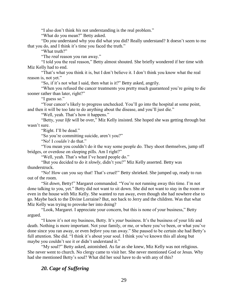"I also don't think *his* not understanding is the real problem."

"What do you mean?" Betty asked.

"Do *you* understand why you did what you did? Really understand? It doesn't seem to me that you do, and I think it's time you faced the truth."

"What truth?"

"The *real* reason you ran away."

"I told you the real reason," Betty almost shouted. She briefly wondered if her time with Miz Kelly had to end.

"That's what you think it is, but I don't believe it. I don't think you know what the real reason is, not yet."

"So, if it's not what I said, then what is it?" Betty asked, angrily.

"When you refused the cancer treatments you pretty much guaranteed you're going to die sooner rather than later, right?"

"I guess so."

"Your cancer's likely to progress unchecked. You'll go into the hospital at some point, and then it will be too late to do anything about the disease, and you'll just die."

"Well, yeah. That's how it happens."

"Betty, your *life* will be over," Miz Kelly insisted. She hoped she was getting through but wasn't sure.

"Right. I'll be dead."

"So you're committing suicide, aren't you?"

"No! I *couldn't* do that."

"You mean you couldn't do it the way some people do. They shoot themselves, jump off bridges, or overdose on sleeping pills. Am I right?"

"Well, yeah. That's what I've heard people do."

"But you decided to do it *slowly*, didn't you?" Miz Kelly asserted. Betty was thunderstruck.

"No! How can you say that! That's cruel!" Betty shrieked. She jumped up, ready to run out of the room.

"Sit *down*, Betty!" Margaret commanded. "You're not running away this time. I'm not done talking to you, yet." Betty did not want to sit down. She did not want to stay in the room or even in the house with Miz Kelly. She wanted to run away, even though she had nowhere else to go. Maybe back to the Divine Lorraine? But, not back to Jerry and the children. Was that what Miz Kelly was trying to provoke her into doing?

"Look, Margaret. I appreciate your concern, but this is none of your business," Betty argued.

"I know it's not my business, Betty. It's *your* business. It's the business of your life and death. Nothing is more important. Not your family, or me, or where you've been, or what you've done since you ran away, or even *before* you ran away." She paused to be certain she had Betty's full attention. She did. "I think it's about your soul. I think you've known this all along but maybe you couldn't see it or didn't understand it."

"My soul?" Betty asked, astonished. As far as she knew, Miz Kelly was not religious. She never went to church. No clergy came to visit her. She never mentioned God or Jesus. Why had she mentioned Betty's soul? What did her soul have to do with any of this?

## *20. Cage of Suffering*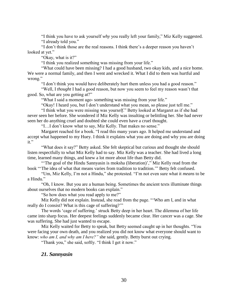"I think you have to ask yourself *why* you really left your family," Miz Kelly suggested. "I already told you."

"I don't think those are the real reasons. I think there's a deeper reason you haven't looked at yet."

"Okay, what is it?"

"I think you realized something was missing from your life."

"What could have been missing? I had a good husband, two okay kids, and a nice home. We were a normal family, and then I went and wrecked it. What I did to them was hurtful and wrong."

"I don't think you would have deliberately hurt them unless you had a good reason."

"Well, I *thought* I had a good reason, but now you seem to feel my reason wasn't that good. So, what are you getting at?"

"What I said a moment ago- something was missing from your life."

"Okay! I heard you, but I don't understand what you mean, so please just tell me."

"I think what you were missing was your*self*." Betty looked at Margaret as if she had never seen her before. She wondered if Miz Kelly was insulting or belittling her. She had never seen her do anything cruel and doubted she could even have a cruel thought.

"I…I don't know what to say, Miz Kelly. That makes no sense."

Margaret reached for a book. "I read this many years ago. It helped me understand and accept what happened to my Huey. I think it explains what you are doing and why you are doing it."

"What does it say?" Betty asked. She felt skeptical but curious and thought she should listen respectfully to what Miz Kelly had to say. Miz Kelly was a teacher. She had lived a long time, learned many things, and knew a lot more about life than Betty did.

"The goal of the Hindu Sannyasin is [moksha](https://en.wikipedia.org/wiki/Moksha) (liberation)'," Miz Kelly read from the book "'The idea of what that means varies from tradition to tradition.'" Betty felt confused.

"Um, Miz Kelly, I'm not a Hindu," she protested. "I'm not even sure what it *means* to be a Hindu."

"Oh, I know. But you are a human being. Sometimes the ancient texts illuminate things about ourselves that no modern books can explain."

"So how does what you read apply to me?"

Miz Kelly did not explain. Instead, she read from the page. "'Who am I, and in what really do I consist? What is this cage of suffering?'"

The words 'cage of suffering.' struck Betty deep in her heart. The dilemma of her life came into sharp focus. Her deepest feelings suddenly became clear. Her cancer was a cage. She was suffering. She had just wanted to escape.

Miz Kelly waited for Betty to speak, but Betty seemed caught up in her thoughts. "You were facing your own death, and you realized you did not know what everyone should want to know: *who am I, and why am I here?"* she said, gently. Betty burst out crying.

"Thank you," she said, softly. "I think I get it now."

## *21. Sannyasin*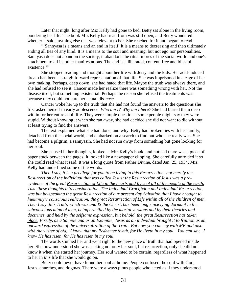Later that night, long after Miz Kelly had gone to bed, Betty sat alone in the living room, pondering her life. The book Miz Kelly had read from was still open, and Betty wondered whether it said anything else that was relevant to her. She reached for it and began to read.

"'Sannyasa is a means and an end in itself. It is a means to decreasing and then ultimately ending all ties of any kind. It is a means to the soul and meaning, but not ego nor personalities. Sannyasa does not abandon the society, it abandons the ritual mores of the social world and one's attachment to all its other manifestations. The end is a liberated, content, free and blissful existence."

She stopped reading and thought about her life with Jerry and the kids. Her acid-induced dream had been a straightforward representation of that life. She was imprisoned in a cage of her own making. Perhaps, deep down, she had hated that life. Maybe the truth was always there, and she had refused to see it. Cancer made her realize there was something wrong with her. Not the disease itself, but something existential. Perhaps the reason she refused the treatments was because they could not cure her actual dis-*ease*.

Cancer woke her up to the truth that she had not found the answers to the questions she first asked herself in early adolescence. *Who am I? Why am I here?* She had buried them deep within for her entire adult life. They were simple questions; some people might say they were stupid. Without knowing it when she ran away, she had decided she did not want to die without at least trying to find the answers.

The text explained what she had done, and why. Betty had broken ties with her family, detached from the social world, and embarked on a search to find out who she really was. She had become a pilgrim, a sannyasin. She had not run *away* from something but gone looking for her soul.

She paused in her thoughts, looked at Miz Kelly's book, and noticed there was a piece of paper stuck between the pages. It looked like a newspaper clipping. She carefully unfolded it so she could read what it said. It was a long quote from Father Divine, dated Jan. 25, 1934. Miz Kelly had underlined some of the words.

*Then I say, it is a privilege for you to be living in this Resurrection- not merely the Resurrection of the individual that was called Jesus; the Resurrection of Jesus was a preevidence of the great Resurrection of Life in the hearts and lives of all of the people of the earth. Take these thoughts into consideration. The Individual Crucifixion and Individual Resurrection, was but be-speaking the great Resurrection of our present day Salvation that I have brought to humanity's conscious realization, the great Resurrection of Life within all of the children of men. Then I say, this Truth, which was and IS the Christ, has been long since lying dormant in the subconscious mind of men, being crucified by the mortal versions and by their theories and doctrines, and held by the selfsame expression, but behold, the great Resurrection has taken place. Firstly, as a Sample and as an Example, Jesus as an individual brought it to fruition as an outward expression of the universalization of the Truth. But now you can say with ME and also with the writer of old, 'I know that my Redeemer liveth, for He liveth in my soul.' You can say, 'I know He has risen, for He has risen in my soul.*

The words stunned her and went right to the new place of truth that had opened inside her. She now understood she was seeking not only her soul, but resurrection, only she did not know it when she started her journey. Her soul wanted to be certain, regardless of what happened to her in *this* life that she would go on.

Betty could never have found her soul at home. People confused the soul with God, Jesus, churches, and dogmas. There were always pious people who acted as if they understood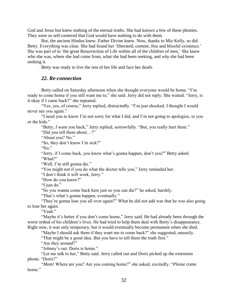God and Jesus but knew nothing of the eternal truths. She had known a few of these phonies. They were so self-centered that God would have nothing to do with them.

But, the ancient Hindus knew. Father Divine knew. Now, thanks to Miz Kelly, so did Betty. Everything was clear. She had found her 'liberated, content, free and blissful existence.' She was part of in 'the great Resurrection of Life within all of the children of men.' She knew who she was, where she had come from, what she had been seeking, and *why* she had been seeking it.

Betty was ready to live the rest of her life and face her death.

## *22. Re-connection*

Betty called on Saturday afternoon when she thought everyone would be home. "I'm ready to come home if you still want me to," she said. Jerry did not reply. She waited. "Jerry, is it okay if I came back?" she repeated.

"Yes, yes, of course," Jerry replied, distractedly. "I'm just shocked. I thought I would never see you again."

"I need you to know I'm not sorry for what I did, and I'm not going to apologize, to you or the kids."

"Betty, *I* want you back," Jerry replied, sorrowfully. "But, you really hurt them."

"Did you tell them about…?"

"About you? No."

"So, they don't know I'm sick?"

"No."

"Jerry, if I come back, you know what's gonna happen, don't you?" Betty asked. "What?"

"Well, I'm still gonna die."

"You might not if you do what the doctor tells you," Jerry reminded her.

"I don't think it will work, Jerry."

"How do you know?"

"I just do."

"So you wanna come back here just so you can die?" he asked, harshly.

"That's what's gonna happen, eventually."

"They're gonna lose you all over again?" What he did not add was that he was also going to lose her again.

"Yeah"

"Maybe it's better if you don't come home," Jerry said. He had already been through the worst ordeal of his children's lives. He had tried to help them deal with Betty's disappearance. Right now, it was only temporary, but it would eventually become permanent when she died.

"Maybe I should ask them if they want me to come back?" she suggested, uneasily.

"That might be a good idea. But you have to tell them the truth first."

"Are they around?"

"Johnny's out. Doris is home."

"Let me talk to her," Betty said. Jerry called out and Doris picked up the extension phone. "Doris?"

"*Mom!* Where are you? Are you coming home?" she asked, excitedly. "*Please* come home."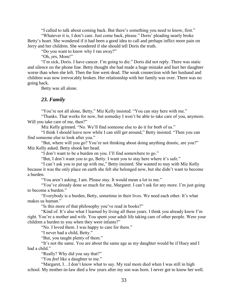"I called to talk about coming back. But there's something you need to know, first."

"Whatever it is, I don't care. Just come back, please." Doris' pleading nearly broke Betty's heart. She wondered if it had been a good idea to call and perhaps inflict more pain on Jerry and her children. She wondered if she should tell Doris the truth.

"Do you want to know why I ran away?"

"Oh, *yes*, Mom!"

"I'm sick, Doris. I have cancer. I'm going to die." Doris did not reply. There was static and silence on the phone line. Betty thought she had made a huge mistake and hurt her daughter worse than when she left. Then the line went dead. The weak connection with her husband and children was now irrevocably broken. Her relationship with her family was over. There was no going back.

Betty was all alone.

## *23. Family*

"You're not all alone, Betty," Miz Kelly insisted. "You can stay here with me."

"Thanks. That works for now, but someday I won't be able to take care of you, anymore. Will you take care of me, then?"

Miz Kelly grinned. "No. We'll find someone else to do it for *both* of us."

"I think I should leave now while I can still get around," Betty insisted. "Then you can find someone else to look after you."

"But, where will you go? You're not thinking about doing anything drastic, are you?" Miz Kelly asked. Betty shook her head.

"I don't want to be a burden on you. I'll find somewhere to go."

"But, I don't want you to go, Betty. I want you to stay here where it's safe."

"I can't ask you to put up with me," Betty insisted. She wanted to stay with Miz Kelly because it was the only place on earth she felt she belonged now, but she didn't want to become a burden.

"You aren't asking; I am. Please stay. It would mean a lot to me."

"You've already done so much for me, Margaret. I can't ask for any more. I'm just going to become a burden."

"Everybody is a burden, Betty, sometime in their lives. We need each other. It's what makes us human."

"Is this more of that philosophy you've read in books?"

"Kind of. It's also what I learned by living all these years. I think you already know I'm right. You're a mother and wife. You spent your adult life taking care of other people. Were your children a burden to you when they were infants?"

"No. I loved them. I was happy to care for them."

"I never had a child, Betty."

"But, you taught plenty of them."

"It's not the same. You are about the same age as my daughter would be if Huey and I had a child."

"Really? Why did you say that?"

"You *feel* like a daughter to me."

"Margaret, I…I don't know what to say. My real mom died when I was still in high school. My mother-in-law died a few years after my son was born. I never got to know her well.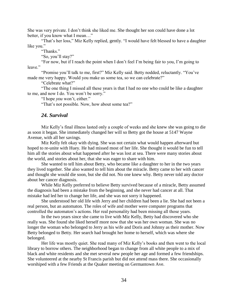She was very private. I don't think she liked me. She thought her son could have done a lot better, if you know what I mean…"

"That's her loss," Miz Kelly replied, gently. "I would have felt blessed to have a daughter like you."

"Thanks."

"So, you'll stay?"

"For now, but if I reach the point when I don't feel I'm being fair to you, I'm going to leave."

"Promise you'll talk to me, first?" Miz Kelly said. Betty nodded, reluctantly. "You've made me very happy. Would you make us some tea, so we can celebrate?"

"Celebrate what?"

"The one thing I missed all these years is that I had no one who could be like a daughter to me, and now I do. You won't be sorry."

"I hope *you* won't, either."

"That's not possible. Now, how about some tea?"

#### *24. Survival*

Miz Kelly's final illness lasted only a couple of weeks and she knew she was going to die as soon it began. She immediately changed her will so Betty got the house at 5147 Wayne Avenue, with all her savings.

Miz Kelly felt okay with dying. She was not certain what would happen afterward but hoped to re-unite with Huey. He had missed most of her life. She thought it would be fun to tell him all the stories about what happened after he was lost at sea. There were many stories about the world, and stories about her, that she was eager to share with him.

She wanted to tell him about Betty, who became like a daughter to her in the two years they lived together. She also wanted to tell him about the miracle. Betty came to her with cancer and thought she would die soon, but she did not. No one knew why. Betty never told any doctor about her cancer diagnosis.

While Miz Kelly preferred to believe Betty survived because of a miracle, Betty assumed the diagnosis had been a mistake from the beginning, and she never had cancer at all. That mistake had led her to change her life, and she was not sorry it happened.

She understood her old life with Jerry and her children had been a lie. She had not been a real person, but an automaton. The roles of wife and mother were computer programs that controlled the automaton's actions. Her real personality had been missing all those years.

In the two years since she came to live with Miz Kelly, Betty had discovered who she really was. She found she liked herself more now that she was her own woman. She was no longer the woman who belonged to Jerry as his wife and Doris and Johnny as their mother. Now Betty belonged to Betty. Her search had brought her home to herself, which was where she belonged.

Her life was mostly quiet. She read many of Miz Kelly's books and then went to the local library to borrow others. The neighborhood began to change from all white people to a mix of black and white residents and she met several new people her age and formed a few friendships. She volunteered at the nearby St Francis parish but did not attend mass there. She occasionally worshiped with a few Friends at the Quaker meeting on Germantown Ave.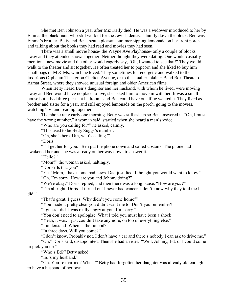She met Ben Johnson a year after Miz Kelly died. He was a widower introduced to her by Emma, the black maid who still worked for the Jewish dentist's family down the block. Ben was Emma's brother. Betty and Ben spent a pleasant summer sipping lemonade on her front porch and talking about the books they had read and movies they had seen.

There was a small movie house- the Wayne Ave Playhouse- only a couple of blocks away and they attended shows together. Neither thought they were dating. One would casually mention a new movie and the other would eagerly say, "Oh, I wanted to see that!" They would walk to the theater and sit together. He often treated her to popcorn and she liked to buy him small bags of M & Ms, which he loved. They sometimes felt energetic and walked to the luxurious Orpheum Theater on Chelten Avenue, or to the smaller, plainer Band Box Theater on Armat Street, where they showed unusual foreign and older American films.

When Betty heard Ben's daughter and her husband, with whom he lived, were moving away and Ben would have no place to live, she asked him to move in with her. It was a small house but it had three pleasant bedrooms and Ben could have one if he wanted it. They lived as brother and sister for a year, and still enjoyed lemonade on the porch, going to the movies, watching TV, and reading together.

The phone rang early one morning. Betty was still asleep so Ben answered it. "Oh, I must have the wrong number," a woman said, startled when she heard a man's voice.

"Who are you calling for?" he asked, calmly.

"This used to be Betty Suggs's number."

"Oh, she's here. Um, who's calling?"

"Doris."

"I'll get her for you." Ben put the phone down and called upstairs. The phone had awakened her and she was already on her way down to answer it.

"Hello?"

"Mom?" the woman asked, haltingly.

"Doris? Is that you?"

"Yes! Mom, I have some bad news. Dad just died. I thought you would want to know." "Oh, I'm sorry. How are you and Johnny doing?"

"We're okay," Doris replied, and then there was a long pause. "How are *you?*"

"I'm all right, Doris. It turned out I never had cancer. I don't know why they told me I

did."

"That's great, I guess. Why didn't you come home?"

"You made it pretty clear you didn't want me to. Don't you remember?"

"I guess I did. I was really angry at you. I'm sorry."

"You don't need to apologize. What I told you must have been a shock."

"Yeah, it was. I just couldn't take anymore, on top of everything else."

"I understand. When is the funeral?"

"In three days. Will you come?"

"I don't know. Probably not. I don't have a car and there's nobody I can ask to drive me."

"Oh," Doris said, disappointed. Then she had an idea. "Well, Johnny, Ed, or I could come to pick you up."

"Who's Ed?" Betty asked.

"Ed's my husband."

"Oh. You're married? When?" Betty had forgotten her daughter was already old enough to have a husband of her own.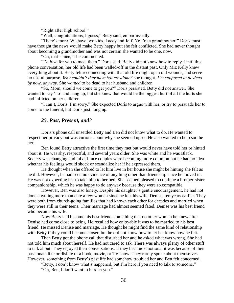"Right after high school."

"Well, congratulations, I guess," Betty said, embarrassedly.

"There's more. We have two kids, Lacey and Jeff. You're a grandmother!" Doris must have thought the news would make Betty happy but she felt conflicted. She had never thought about becoming a grandmother and was not certain she wanted to be one, now.

"Oh, that's nice," she commented.

"I'd *love* for you to meet them," Doris said. Betty did not know how to reply. Until this phone conversation, her old life had been walled-off in the distant past. Only Miz Kelly knew everything about it. Betty felt reconnecting with that old life might open old wounds, and serve no useful purpose. *Why couldn't they have left me alone?* she thought. *I'm supposed to be dead by now, anyway.* She *wanted* to be dead to her husband and children.

"So, Mom, should we come to get you?" Doris persisted. Betty did not answer. She wanted to say 'no' and hang up, but she knew that would be the biggest hurt of all the hurts she had inflicted on her children.

"I can't, Doris. I'm sorry." She expected Doris to argue with her, or try to persuade her to come to the funeral, but Doris just hung up.

## *25*. *Past, Present, and?*

Doris's phone call unsettled Betty and Ben did not know what to do. He wanted to respect her privacy but was curious about why she seemed upset. He also wanted to help soothe her.

Ben found Betty attractive the first time they met but would never have told her or hinted about it. He was shy, respectful, and several years older. She was white and he was Black. Society was changing and mixed-race couples were becoming more common but he had no idea whether his feelings would shock or scandalize her if he expressed them.

He thought when she offered to let him live in her house she might be hinting she felt as he did. However, he had seen no evidence of anything other than friendship since he moved in. He was not expecting her to take him to her bed. She seemed pleased to continue a brother-sister companionship, which he was happy to do anyway because they were so compatible.

However, Ben was also lonely. Despite his daughter's gentle encouragement, he had not done anything more than date a few women since he lost his wife, Denise, ten years earlier. They were both from church-going families that had known each other for decades and married when they were still in their teens. Their marriage had almost seemed fated. Denise was his best friend who became his wife.

Now Betty had become his best friend, something that no other woman he knew after Denise had come close to being. He recalled how enjoyable it was to be married to his best friend. He missed Denise and marriage. He thought he might find the same kind of relationship with Betty if they could become closer, but he did not know how to let her know how he felt.

Then Betty got the phone call that disturbed her and he asked what was wrong. She had not told him much about herself. He had not cared to ask. There was always plenty of other stuff to talk about. They enjoyed their conversations. If they became emotional it was because of their passionate like or dislike of a book, movie, or TV show. They rarely spoke about themselves. However, something from Betty's past life had somehow troubled her and Ben felt concerned.

"Betty, I don't know what's happened, but I'm here if you need to talk to someone." "Oh, Ben, I don't want to burden you."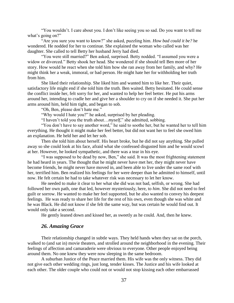"You wouldn't. I care about you. I don't like seeing you so sad. Do you want to tell me what's going on?"

"Are you sure you want to know?" she asked, puzzling him. *How bad could it be?* he wondered. He nodded for her to continue. She explained the woman who called was her daughter. She called to tell Betty her husband Jerry had died.

"You were still married?" Ben asked, surprised. Betty nodded. "I assumed you were a widow or divorced." Betty shook her head. She wondered if she should tell Ben more of her story. How would he react when she told him how she ran away from her family, and why? He might think her a weak, immoral, or bad person. He might hate her for withholding her truth from him.

She liked their relationship. She liked him and wanted him to like her. Their quiet, satisfactory life might end if she told him the truth. Ben waited. Betty hesitated. He could sense the conflict inside her, felt sorry for her, and wanted to help her feel better. He put his arms around her, intending to cradle her and give her a shoulder to cry on if she needed it. She put her arms around him, held him tight, and began to sob.

"Oh, Ben, please don't hate me."

"Why would I hate you?" he asked, surprised by her pleading.

"I haven't told you the truth about…*myself*," she admitted, sobbing.

"You don't have to say another word," he said to soothe her, but he wanted her to tell him everything. He thought it might make her feel better, but did not want her to feel she owed him an explanation. He held her and let her sob.

Then she told him about herself. His heart broke, but he did not say anything. She pulled away so she could look at his face, afraid what she confessed disgusted him and he would scowl at her. However, he looked sympathetic, and there was a tear in his eye.

"I was supposed to be dead by now, Ben," she said. It was the most frightening statement he had heard in years. The thought that he might never have met her, they might never have become friends, he might never have moved in, and been able to live under the same roof with her, terrified him. Ben realized his feelings for her were deeper than he admitted to himself, until now. He felt certain he had to take whatever risk was necessary to let her know.

He needed to make it clear to her what she did was not bad, selfish, or wrong. She had followed her own path, one that led, however mysteriously, here, to *him*. She did not need to feel guilt or sorrow. He wanted to make her feel supported, but he also wanted to convey his deepest feelings. He was ready to share her life for the rest of his own, even though she was white and he was Black. He did not know if she felt the same way, but was certain he would find out. It would only take a second.

He gently leaned down and kissed her, as sweetly as he could. And, then he knew.

## *26. Amazing Grace*

Their relationship changed in subtle ways. They held hands when they sat on the porch, walked to (and sat in) movie theaters, and strolled around the neighborhood in the evening. Their feelings of affection and camaraderie were obvious to everyone. Other people enjoyed being around them. No one knew they were now sleeping in the same bedroom.

A suburban Justice of the Peace married them. His wife was the only witness. They did not give each other wedding rings, just long, tender kisses. The Justice and his wife looked at each other. The older couple who could not or would not stop kissing each other embarrassed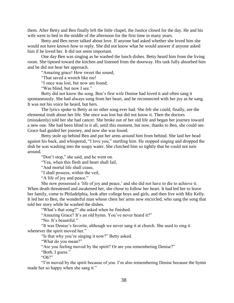them. After Betty and Ben finally left the little chapel, the Justice closed for the day. He and his wife went to bed in the middle of the afternoon for the first time in many years.

Betty and Ben never talked about love. If anyone had asked whether she loved him she would not have known how to reply. She did not know what he would answer if anyone asked him if he loved her. It did not seem important.

One day Ben was singing as he washed the lunch dishes. Betty heard him from the living room. She tiptoed toward the kitchen and listened from the doorway. His task fully absorbed him and he did not hear her approach.

"Amazing grace! How sweet the sound,

"That saved a wretch like me!

"I once was lost, but now am found;

"Was blind, but now I see."

Betty did not know the song. Ben's first wife Denise had loved it and often sang it spontaneously. She had always sung from her heart, and he reconnected with her joy as he sang. It was not his voice he heard, but hers.

The lyrics spoke to Betty as no other song ever had. She felt she could, finally, see the elemental truth about her life. She once was lost but did not know it. Then the doctors (mistakenly) told her she had cancer. She broke out of her old life and began her journey toward a new one. She had been blind to it all, until this moment, but now, thanks to Ben, she could see. Grace had guided her journey, and now she was found.

Betty stole up behind Ben and put her arms around him from behind. She laid her head against his back, and whispered, "I love you," startling him. He stopped singing and dropped the dish he was washing into the soapy water. She clutched him so tightly that he could not turn around.

"Don't stop," she said, and he went on.

"Yea, when this flesh and heart shall fail,

"And mortal life shall cease,

"I shall possess, within the veil,

"A life of joy and peace."

She now possessed a 'life of joy and peace,' and she did not have to die to achieve it. When death threatened and awakened her, she chose to follow her heart. It had led her to leave her family, come to Philadelphia, look after college boys and girls, and then live with Miz Kelly. It led her to Ben, the wonderful man whose chest her arms now encircled, who sang the song that told her story while he washed the dishes.

"What's that song?" she asked when he finished.

"Amazing Grace? It's an old hymn. You've never heard it?"

"No. It's beautiful."

"It was Denise's favorite, although we never sang it at church. She used to sing it whenever the spirit moved her."

"Is that why you're singing it now?" Betty asked.

"What do you mean?"

"Are you feeling moved by the spirit? Or are you remembering Denise?"

"Both, I guess."

"Oh?"

"I'm moved by the spirit because of *you*. I'm also remembering Denise because the hymn made her so happy when she sang it."